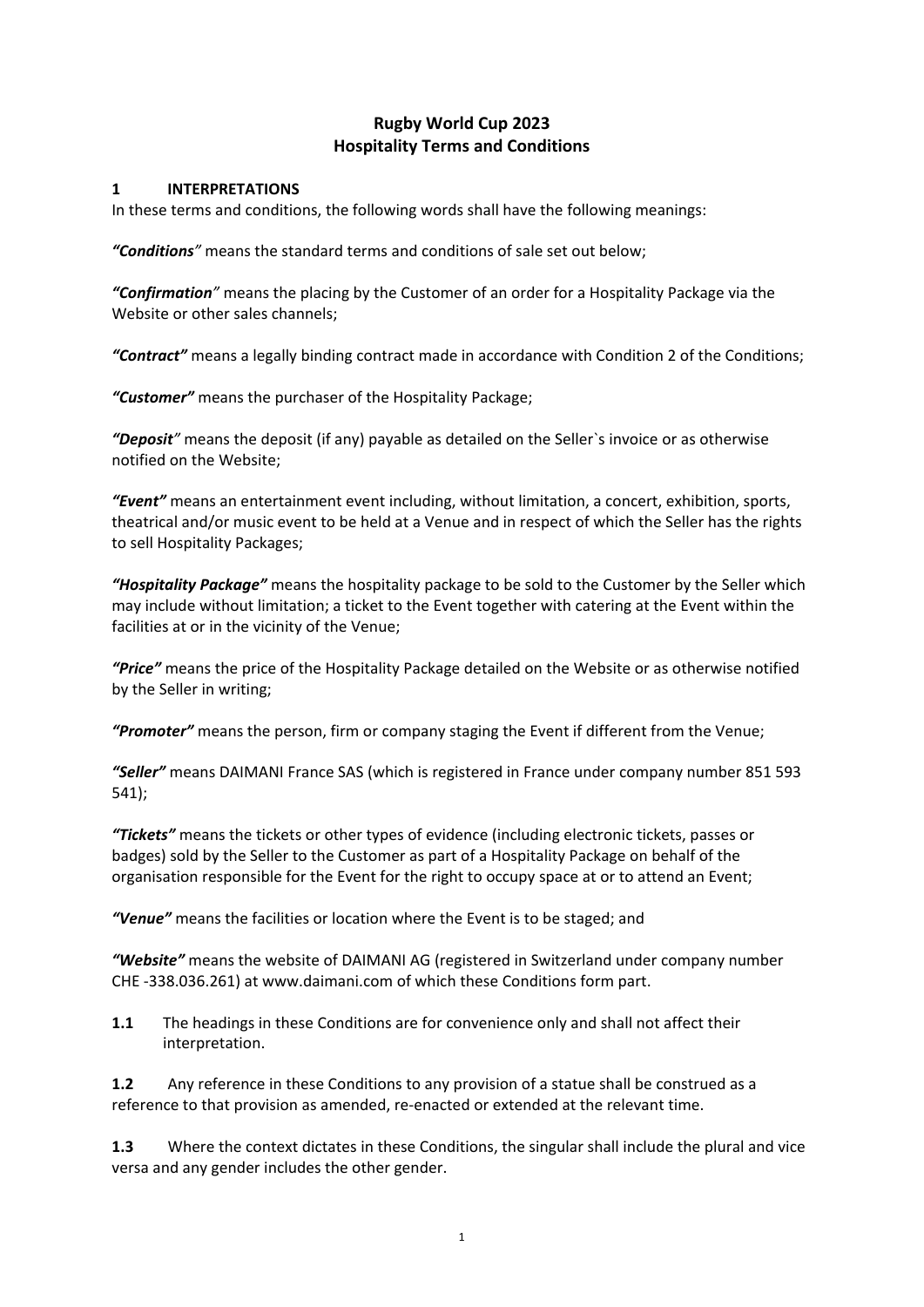# **Rugby World Cup 2023 Hospitality Terms and Conditions**

#### **1 INTERPRETATIONS**

In these terms and conditions, the following words shall have the following meanings:

*"Conditions"* means the standard terms and conditions of sale set out below;

*"Confirmation"* means the placing by the Customer of an order for a Hospitality Package via the Website or other sales channels;

*"Contract"* means a legally binding contract made in accordance with Condition 2 of the Conditions;

*"Customer"* means the purchaser of the Hospitality Package;

*"Deposit"* means the deposit (if any) payable as detailed on the Seller`s invoice or as otherwise notified on the Website;

*"Event"* means an entertainment event including, without limitation, a concert, exhibition, sports, theatrical and/or music event to be held at a Venue and in respect of which the Seller has the rights to sell Hospitality Packages;

*"Hospitality Package"* means the hospitality package to be sold to the Customer by the Seller which may include without limitation; a ticket to the Event together with catering at the Event within the facilities at or in the vicinity of the Venue;

*"Price"* means the price of the Hospitality Package detailed on the Website or as otherwise notified by the Seller in writing;

*"Promoter"* means the person, firm or company staging the Event if different from the Venue;

*"Seller"* means DAIMANI France SAS (which is registered in France under company number 851 593 541);

*"Tickets"* means the tickets or other types of evidence (including electronic tickets, passes or badges) sold by the Seller to the Customer as part of a Hospitality Package on behalf of the organisation responsible for the Event for the right to occupy space at or to attend an Event;

*"Venue"* means the facilities or location where the Event is to be staged; and

*"Website"* means the website of DAIMANI AG (registered in Switzerland under company number CHE -338.036.261) at www.daimani.com of which these Conditions form part.

**1.1** The headings in these Conditions are for convenience only and shall not affect their interpretation.

**1.2** Any reference in these Conditions to any provision of a statue shall be construed as a reference to that provision as amended, re-enacted or extended at the relevant time.

**1.3** Where the context dictates in these Conditions, the singular shall include the plural and vice versa and any gender includes the other gender.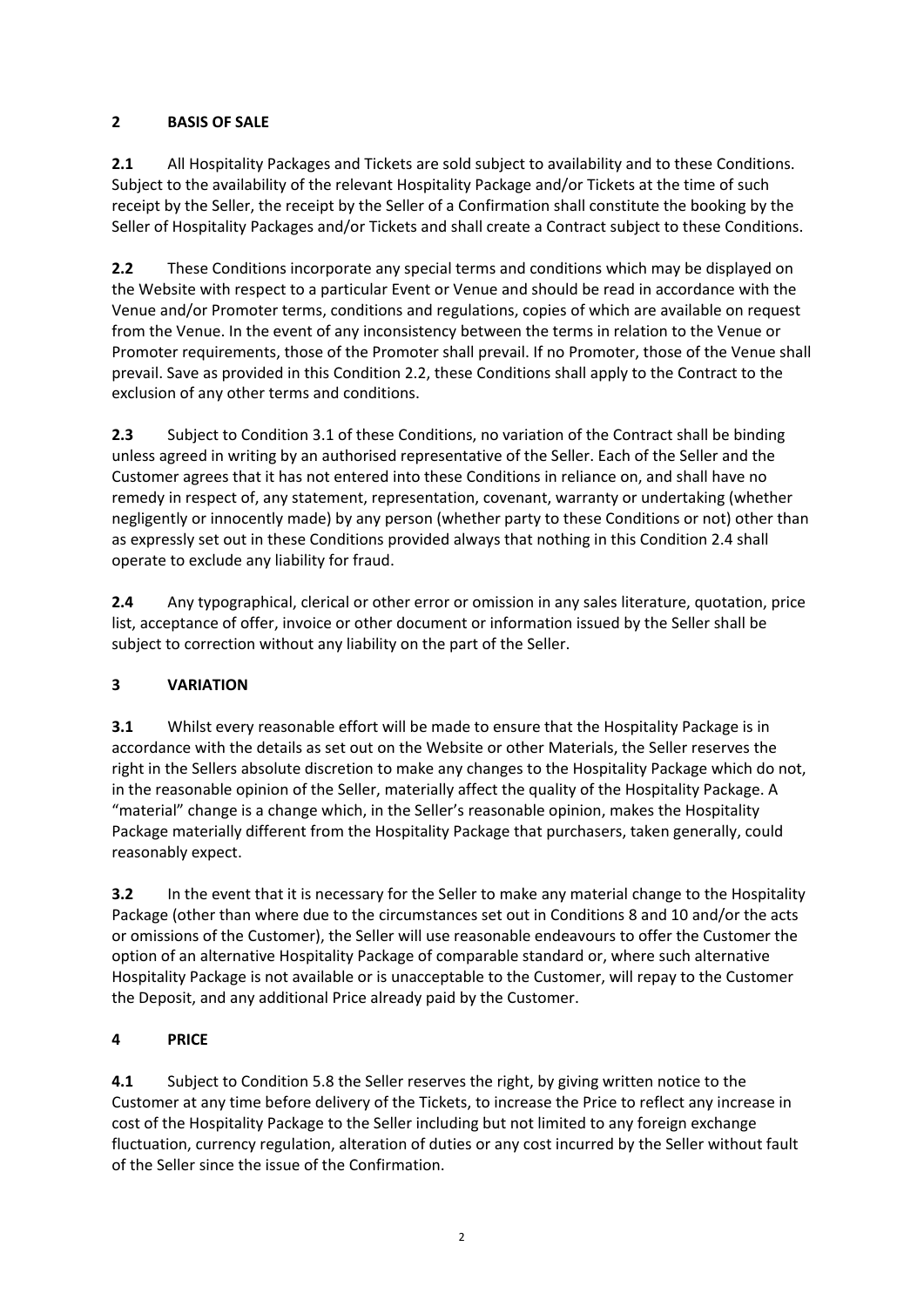## **2 BASIS OF SALE**

**2.1** All Hospitality Packages and Tickets are sold subject to availability and to these Conditions. Subject to the availability of the relevant Hospitality Package and/or Tickets at the time of such receipt by the Seller, the receipt by the Seller of a Confirmation shall constitute the booking by the Seller of Hospitality Packages and/or Tickets and shall create a Contract subject to these Conditions.

**2.2** These Conditions incorporate any special terms and conditions which may be displayed on the Website with respect to a particular Event or Venue and should be read in accordance with the Venue and/or Promoter terms, conditions and regulations, copies of which are available on request from the Venue. In the event of any inconsistency between the terms in relation to the Venue or Promoter requirements, those of the Promoter shall prevail. If no Promoter, those of the Venue shall prevail. Save as provided in this Condition 2.2, these Conditions shall apply to the Contract to the exclusion of any other terms and conditions.

**2.3** Subject to Condition 3.1 of these Conditions, no variation of the Contract shall be binding unless agreed in writing by an authorised representative of the Seller. Each of the Seller and the Customer agrees that it has not entered into these Conditions in reliance on, and shall have no remedy in respect of, any statement, representation, covenant, warranty or undertaking (whether negligently or innocently made) by any person (whether party to these Conditions or not) other than as expressly set out in these Conditions provided always that nothing in this Condition 2.4 shall operate to exclude any liability for fraud.

**2.4** Any typographical, clerical or other error or omission in any sales literature, quotation, price list, acceptance of offer, invoice or other document or information issued by the Seller shall be subject to correction without any liability on the part of the Seller.

# **3 VARIATION**

**3.1** Whilst every reasonable effort will be made to ensure that the Hospitality Package is in accordance with the details as set out on the Website or other Materials, the Seller reserves the right in the Sellers absolute discretion to make any changes to the Hospitality Package which do not, in the reasonable opinion of the Seller, materially affect the quality of the Hospitality Package. A "material" change is a change which, in the Seller's reasonable opinion, makes the Hospitality Package materially different from the Hospitality Package that purchasers, taken generally, could reasonably expect.

**3.2** In the event that it is necessary for the Seller to make any material change to the Hospitality Package (other than where due to the circumstances set out in Conditions 8 and 10 and/or the acts or omissions of the Customer), the Seller will use reasonable endeavours to offer the Customer the option of an alternative Hospitality Package of comparable standard or, where such alternative Hospitality Package is not available or is unacceptable to the Customer, will repay to the Customer the Deposit, and any additional Price already paid by the Customer.

# **4 PRICE**

**4.1** Subject to Condition 5.8 the Seller reserves the right, by giving written notice to the Customer at any time before delivery of the Tickets, to increase the Price to reflect any increase in cost of the Hospitality Package to the Seller including but not limited to any foreign exchange fluctuation, currency regulation, alteration of duties or any cost incurred by the Seller without fault of the Seller since the issue of the Confirmation.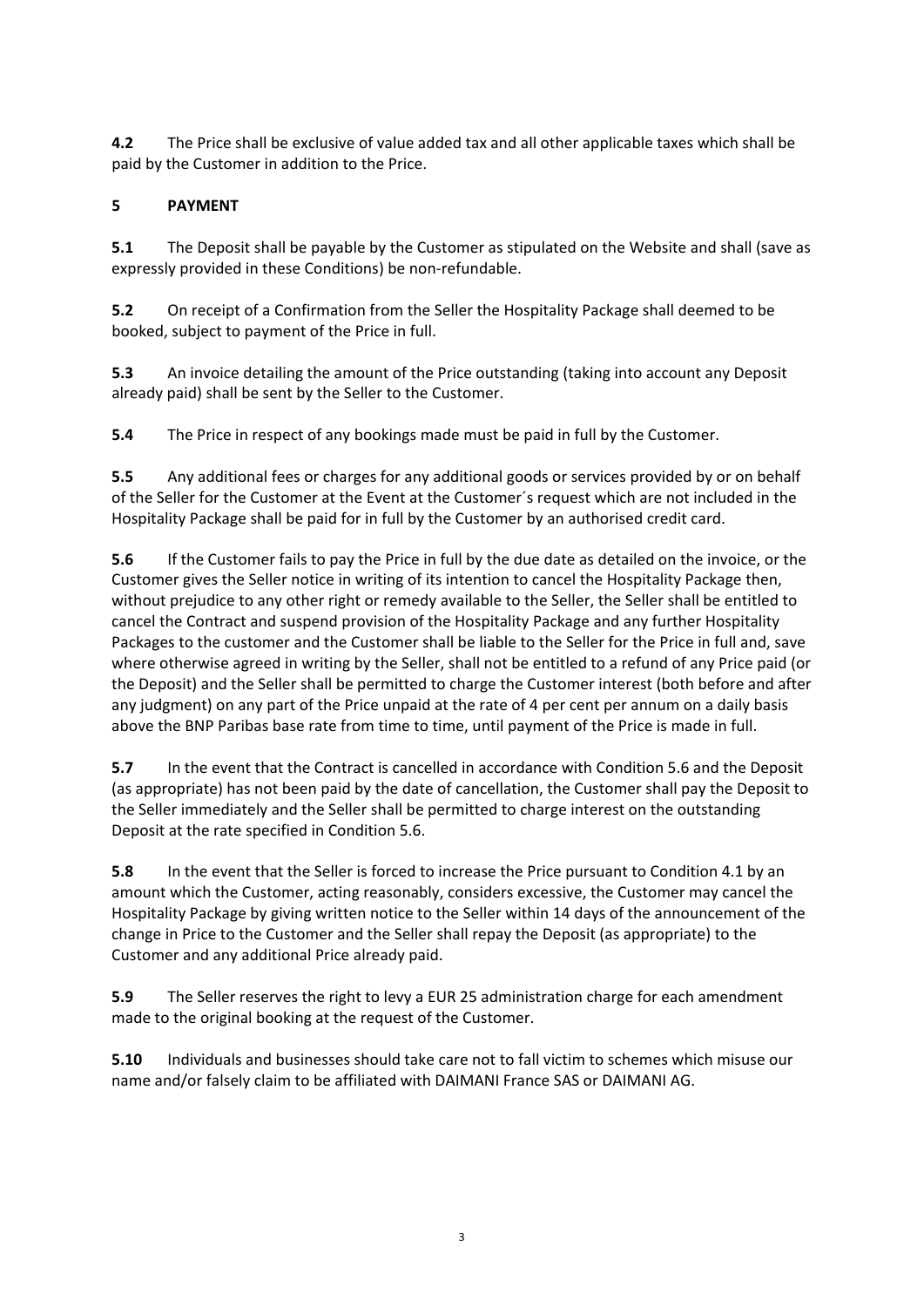**4.2** The Price shall be exclusive of value added tax and all other applicable taxes which shall be paid by the Customer in addition to the Price.

# **5 PAYMENT**

**5.1** The Deposit shall be payable by the Customer as stipulated on the Website and shall (save as expressly provided in these Conditions) be non-refundable.

**5.2** On receipt of a Confirmation from the Seller the Hospitality Package shall deemed to be booked, subject to payment of the Price in full.

**5.3** An invoice detailing the amount of the Price outstanding (taking into account any Deposit already paid) shall be sent by the Seller to the Customer.

**5.4** The Price in respect of any bookings made must be paid in full by the Customer.

**5.5** Any additional fees or charges for any additional goods or services provided by or on behalf of the Seller for the Customer at the Event at the Customer´s request which are not included in the Hospitality Package shall be paid for in full by the Customer by an authorised credit card.

**5.6** If the Customer fails to pay the Price in full by the due date as detailed on the invoice, or the Customer gives the Seller notice in writing of its intention to cancel the Hospitality Package then, without prejudice to any other right or remedy available to the Seller, the Seller shall be entitled to cancel the Contract and suspend provision of the Hospitality Package and any further Hospitality Packages to the customer and the Customer shall be liable to the Seller for the Price in full and, save where otherwise agreed in writing by the Seller, shall not be entitled to a refund of any Price paid (or the Deposit) and the Seller shall be permitted to charge the Customer interest (both before and after any judgment) on any part of the Price unpaid at the rate of 4 per cent per annum on a daily basis above the BNP Paribas base rate from time to time, until payment of the Price is made in full.

**5.7** In the event that the Contract is cancelled in accordance with Condition 5.6 and the Deposit (as appropriate) has not been paid by the date of cancellation, the Customer shall pay the Deposit to the Seller immediately and the Seller shall be permitted to charge interest on the outstanding Deposit at the rate specified in Condition 5.6.

**5.8** In the event that the Seller is forced to increase the Price pursuant to Condition 4.1 by an amount which the Customer, acting reasonably, considers excessive, the Customer may cancel the Hospitality Package by giving written notice to the Seller within 14 days of the announcement of the change in Price to the Customer and the Seller shall repay the Deposit (as appropriate) to the Customer and any additional Price already paid.

**5.9** The Seller reserves the right to levy a EUR 25 administration charge for each amendment made to the original booking at the request of the Customer.

**5.10** Individuals and businesses should take care not to fall victim to schemes which misuse our name and/or falsely claim to be affiliated with DAIMANI France SAS or DAIMANI AG.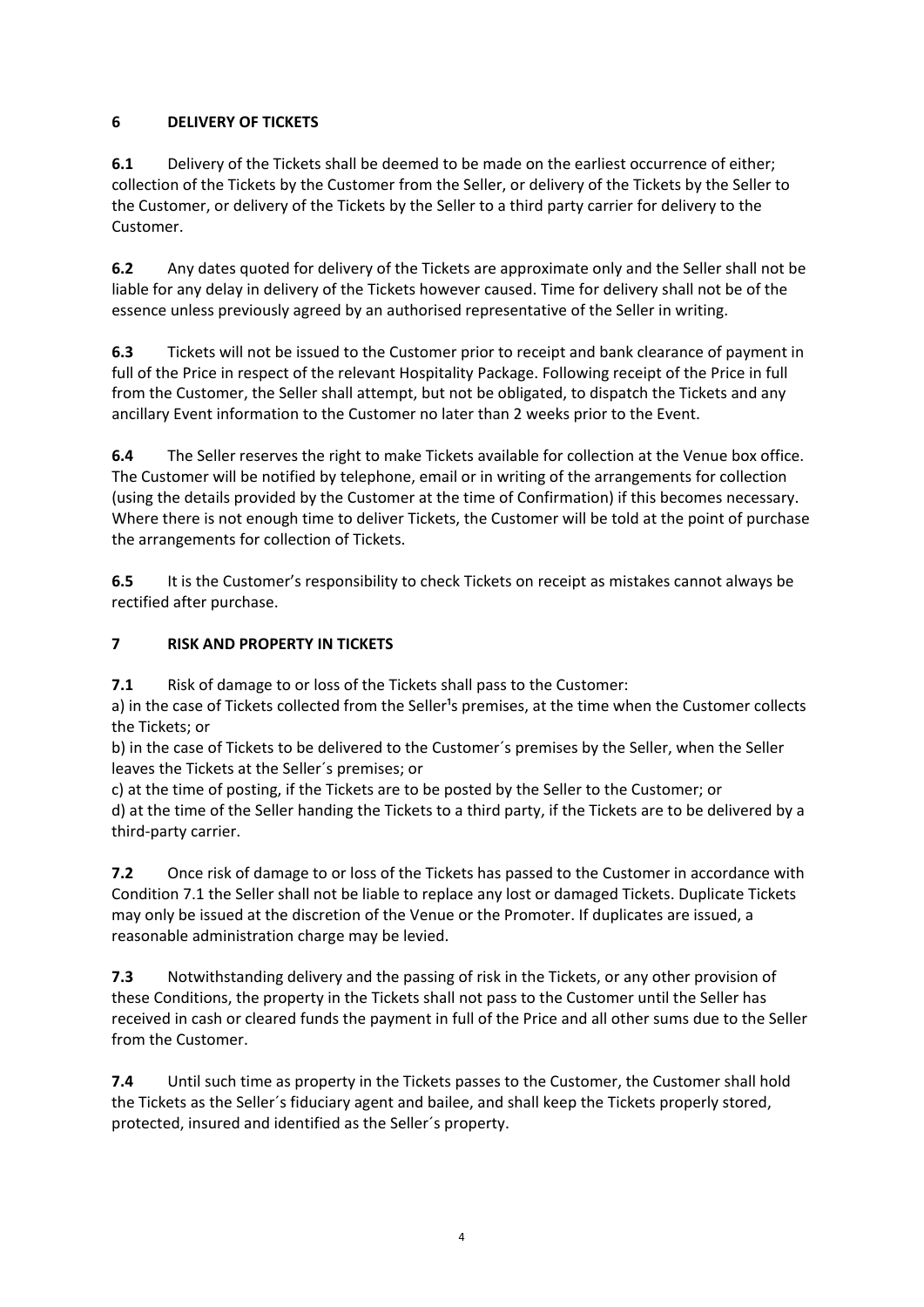## **6 DELIVERY OF TICKETS**

**6.1** Delivery of the Tickets shall be deemed to be made on the earliest occurrence of either; collection of the Tickets by the Customer from the Seller, or delivery of the Tickets by the Seller to the Customer, or delivery of the Tickets by the Seller to a third party carrier for delivery to the Customer.

**6.2** Any dates quoted for delivery of the Tickets are approximate only and the Seller shall not be liable for any delay in delivery of the Tickets however caused. Time for delivery shall not be of the essence unless previously agreed by an authorised representative of the Seller in writing.

**6.3** Tickets will not be issued to the Customer prior to receipt and bank clearance of payment in full of the Price in respect of the relevant Hospitality Package. Following receipt of the Price in full from the Customer, the Seller shall attempt, but not be obligated, to dispatch the Tickets and any ancillary Event information to the Customer no later than 2 weeks prior to the Event.

**6.4** The Seller reserves the right to make Tickets available for collection at the Venue box office. The Customer will be notified by telephone, email or in writing of the arrangements for collection (using the details provided by the Customer at the time of Confirmation) if this becomes necessary. Where there is not enough time to deliver Tickets, the Customer will be told at the point of purchase the arrangements for collection of Tickets.

**6.5** It is the Customer's responsibility to check Tickets on receipt as mistakes cannot always be rectified after purchase.

## **7 RISK AND PROPERTY IN TICKETS**

**7.1** Risk of damage to or loss of the Tickets shall pass to the Customer:

a) in the case of Tickets collected from the Seller<sup>1</sup>s premises, at the time when the Customer collects the Tickets; or

b) in the case of Tickets to be delivered to the Customer´s premises by the Seller, when the Seller leaves the Tickets at the Seller´s premises; or

c) at the time of posting, if the Tickets are to be posted by the Seller to the Customer; or d) at the time of the Seller handing the Tickets to a third party, if the Tickets are to be delivered by a third-party carrier.

**7.2** Once risk of damage to or loss of the Tickets has passed to the Customer in accordance with Condition 7.1 the Seller shall not be liable to replace any lost or damaged Tickets. Duplicate Tickets may only be issued at the discretion of the Venue or the Promoter. If duplicates are issued, a reasonable administration charge may be levied.

**7.3** Notwithstanding delivery and the passing of risk in the Tickets, or any other provision of these Conditions, the property in the Tickets shall not pass to the Customer until the Seller has received in cash or cleared funds the payment in full of the Price and all other sums due to the Seller from the Customer.

**7.4** Until such time as property in the Tickets passes to the Customer, the Customer shall hold the Tickets as the Seller´s fiduciary agent and bailee, and shall keep the Tickets properly stored, protected, insured and identified as the Seller´s property.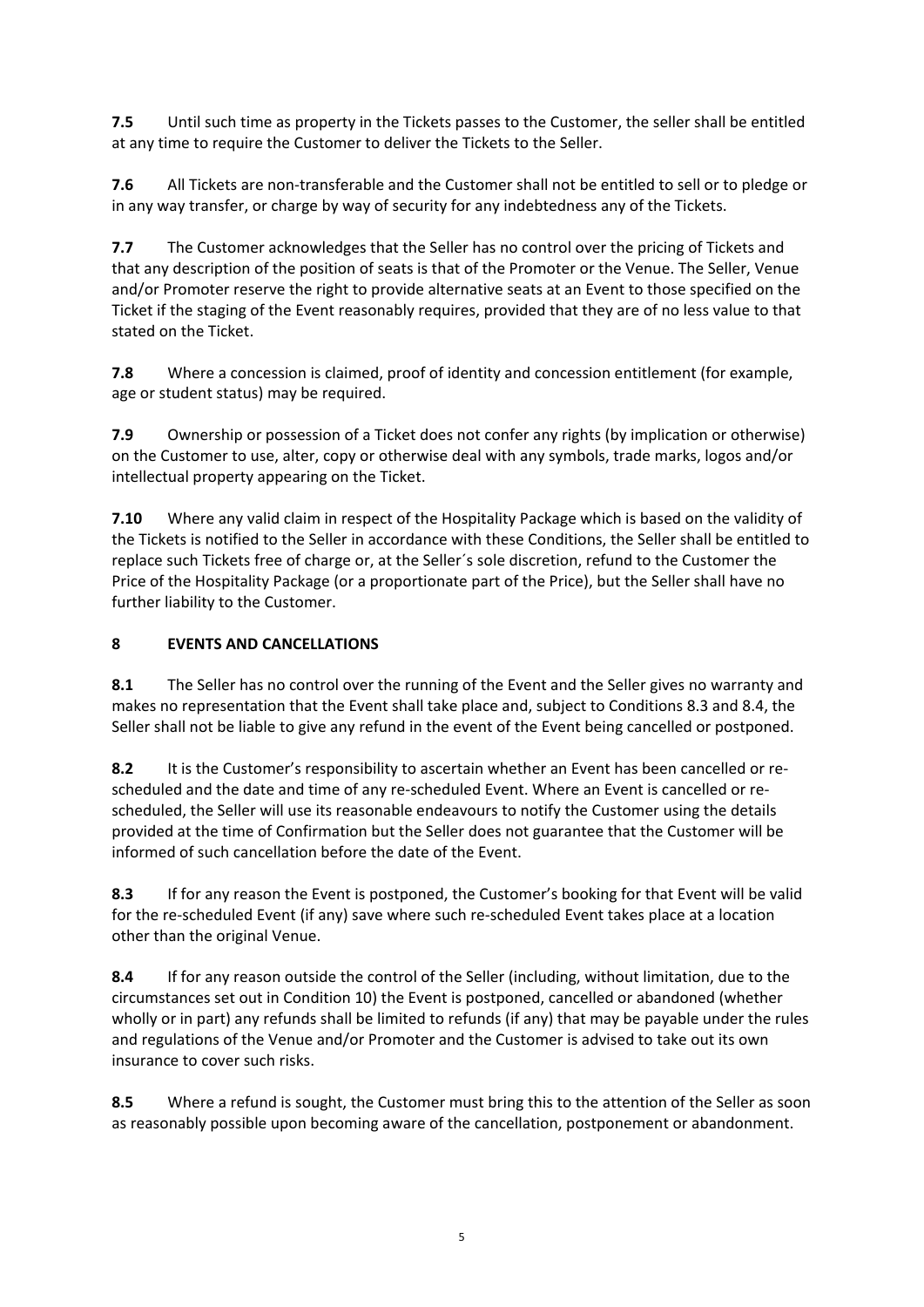**7.5** Until such time as property in the Tickets passes to the Customer, the seller shall be entitled at any time to require the Customer to deliver the Tickets to the Seller.

**7.6** All Tickets are non-transferable and the Customer shall not be entitled to sell or to pledge or in any way transfer, or charge by way of security for any indebtedness any of the Tickets.

**7.7** The Customer acknowledges that the Seller has no control over the pricing of Tickets and that any description of the position of seats is that of the Promoter or the Venue. The Seller, Venue and/or Promoter reserve the right to provide alternative seats at an Event to those specified on the Ticket if the staging of the Event reasonably requires, provided that they are of no less value to that stated on the Ticket.

**7.8** Where a concession is claimed, proof of identity and concession entitlement (for example, age or student status) may be required.

**7.9** Ownership or possession of a Ticket does not confer any rights (by implication or otherwise) on the Customer to use, alter, copy or otherwise deal with any symbols, trade marks, logos and/or intellectual property appearing on the Ticket.

**7.10** Where any valid claim in respect of the Hospitality Package which is based on the validity of the Tickets is notified to the Seller in accordance with these Conditions, the Seller shall be entitled to replace such Tickets free of charge or, at the Seller´s sole discretion, refund to the Customer the Price of the Hospitality Package (or a proportionate part of the Price), but the Seller shall have no further liability to the Customer.

# **8 EVENTS AND CANCELLATIONS**

**8.1** The Seller has no control over the running of the Event and the Seller gives no warranty and makes no representation that the Event shall take place and, subject to Conditions 8.3 and 8.4, the Seller shall not be liable to give any refund in the event of the Event being cancelled or postponed.

**8.2** It is the Customer's responsibility to ascertain whether an Event has been cancelled or rescheduled and the date and time of any re-scheduled Event. Where an Event is cancelled or rescheduled, the Seller will use its reasonable endeavours to notify the Customer using the details provided at the time of Confirmation but the Seller does not guarantee that the Customer will be informed of such cancellation before the date of the Event.

**8.3** If for any reason the Event is postponed, the Customer's booking for that Event will be valid for the re-scheduled Event (if any) save where such re-scheduled Event takes place at a location other than the original Venue.

**8.4** If for any reason outside the control of the Seller (including, without limitation, due to the circumstances set out in Condition 10) the Event is postponed, cancelled or abandoned (whether wholly or in part) any refunds shall be limited to refunds (if any) that may be payable under the rules and regulations of the Venue and/or Promoter and the Customer is advised to take out its own insurance to cover such risks.

**8.5** Where a refund is sought, the Customer must bring this to the attention of the Seller as soon as reasonably possible upon becoming aware of the cancellation, postponement or abandonment.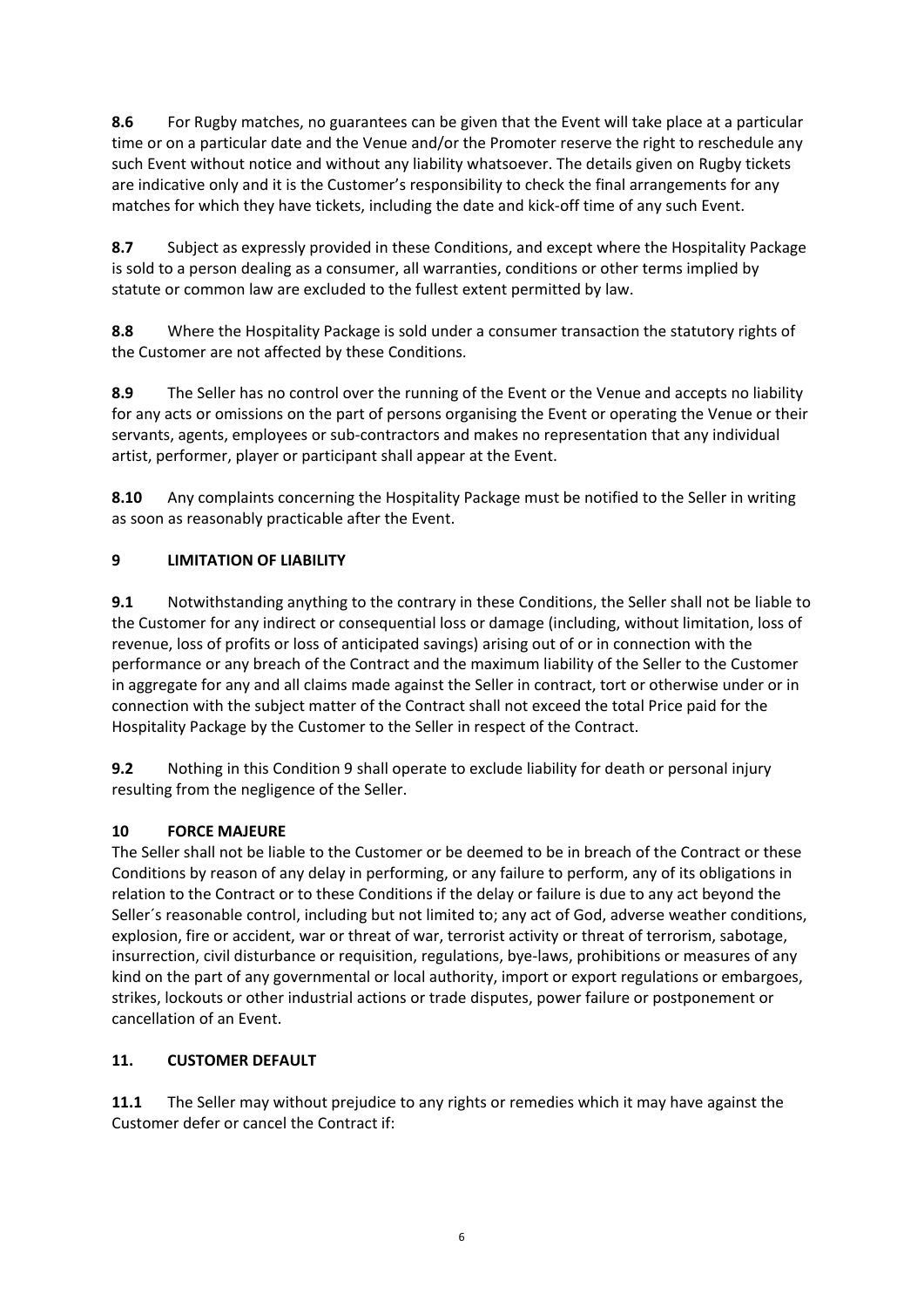**8.6** For Rugby matches, no guarantees can be given that the Event will take place at a particular time or on a particular date and the Venue and/or the Promoter reserve the right to reschedule any such Event without notice and without any liability whatsoever. The details given on Rugby tickets are indicative only and it is the Customer's responsibility to check the final arrangements for any matches for which they have tickets, including the date and kick-off time of any such Event.

**8.7** Subject as expressly provided in these Conditions, and except where the Hospitality Package is sold to a person dealing as a consumer, all warranties, conditions or other terms implied by statute or common law are excluded to the fullest extent permitted by law.

**8.8** Where the Hospitality Package is sold under a consumer transaction the statutory rights of the Customer are not affected by these Conditions.

**8.9** The Seller has no control over the running of the Event or the Venue and accepts no liability for any acts or omissions on the part of persons organising the Event or operating the Venue or their servants, agents, employees or sub-contractors and makes no representation that any individual artist, performer, player or participant shall appear at the Event.

**8.10** Any complaints concerning the Hospitality Package must be notified to the Seller in writing as soon as reasonably practicable after the Event.

## **9 LIMITATION OF LIABILITY**

**9.1** Notwithstanding anything to the contrary in these Conditions, the Seller shall not be liable to the Customer for any indirect or consequential loss or damage (including, without limitation, loss of revenue, loss of profits or loss of anticipated savings) arising out of or in connection with the performance or any breach of the Contract and the maximum liability of the Seller to the Customer in aggregate for any and all claims made against the Seller in contract, tort or otherwise under or in connection with the subject matter of the Contract shall not exceed the total Price paid for the Hospitality Package by the Customer to the Seller in respect of the Contract.

**9.2** Nothing in this Condition 9 shall operate to exclude liability for death or personal injury resulting from the negligence of the Seller.

### **10 FORCE MAJEURE**

The Seller shall not be liable to the Customer or be deemed to be in breach of the Contract or these Conditions by reason of any delay in performing, or any failure to perform, any of its obligations in relation to the Contract or to these Conditions if the delay or failure is due to any act beyond the Seller´s reasonable control, including but not limited to; any act of God, adverse weather conditions, explosion, fire or accident, war or threat of war, terrorist activity or threat of terrorism, sabotage, insurrection, civil disturbance or requisition, regulations, bye-laws, prohibitions or measures of any kind on the part of any governmental or local authority, import or export regulations or embargoes, strikes, lockouts or other industrial actions or trade disputes, power failure or postponement or cancellation of an Event.

### **11. CUSTOMER DEFAULT**

**11.1** The Seller may without prejudice to any rights or remedies which it may have against the Customer defer or cancel the Contract if: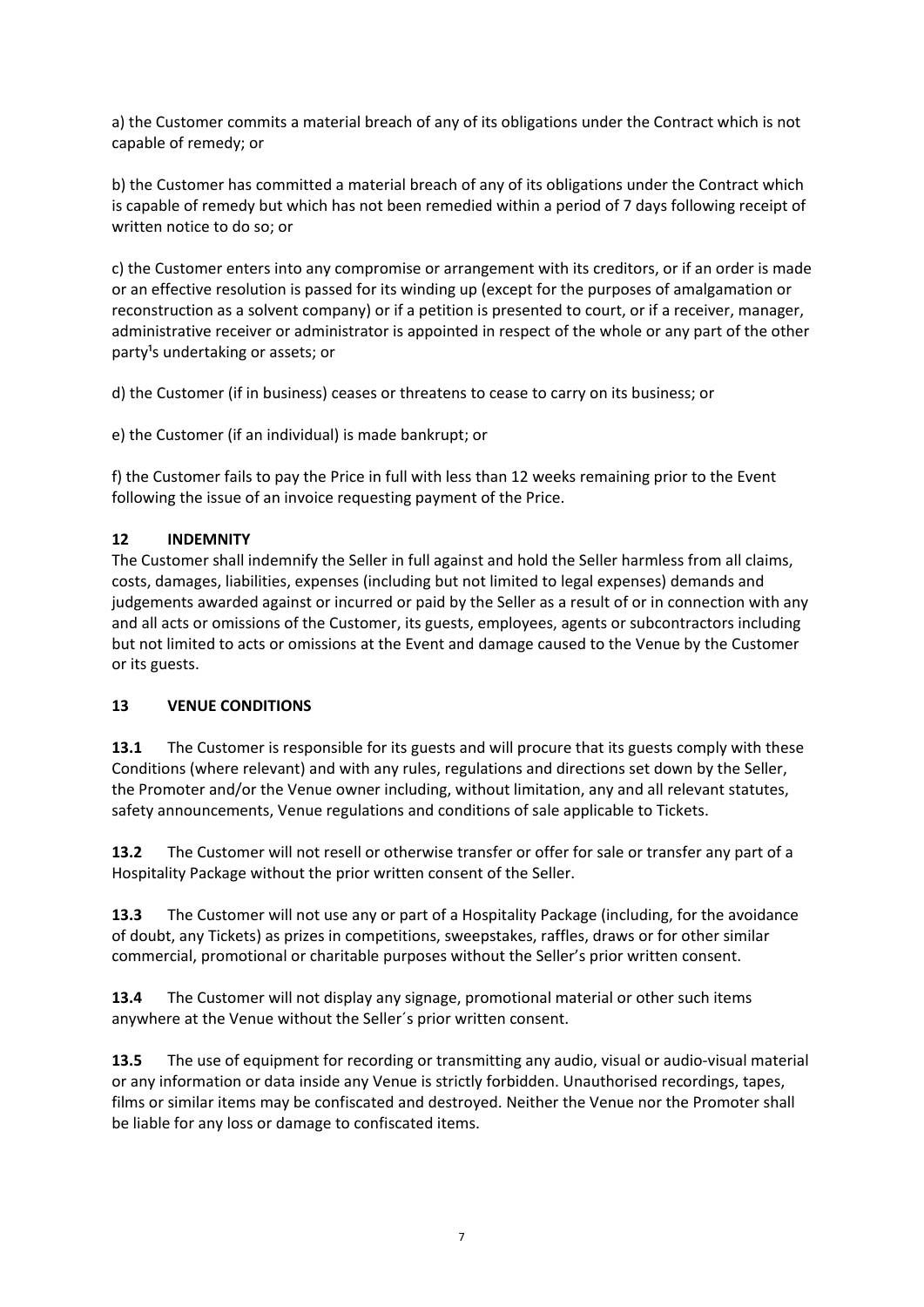a) the Customer commits a material breach of any of its obligations under the Contract which is not capable of remedy; or

b) the Customer has committed a material breach of any of its obligations under the Contract which is capable of remedy but which has not been remedied within a period of 7 days following receipt of written notice to do so; or

c) the Customer enters into any compromise or arrangement with its creditors, or if an order is made or an effective resolution is passed for its winding up (except for the purposes of amalgamation or reconstruction as a solvent company) or if a petition is presented to court, or if a receiver, manager, administrative receiver or administrator is appointed in respect of the whole or any part of the other party<sup>1</sup>s undertaking or assets; or

d) the Customer (if in business) ceases or threatens to cease to carry on its business; or

e) the Customer (if an individual) is made bankrupt; or

f) the Customer fails to pay the Price in full with less than 12 weeks remaining prior to the Event following the issue of an invoice requesting payment of the Price.

## **12 INDEMNITY**

The Customer shall indemnify the Seller in full against and hold the Seller harmless from all claims, costs, damages, liabilities, expenses (including but not limited to legal expenses) demands and judgements awarded against or incurred or paid by the Seller as a result of or in connection with any and all acts or omissions of the Customer, its guests, employees, agents or subcontractors including but not limited to acts or omissions at the Event and damage caused to the Venue by the Customer or its guests.

### **13 VENUE CONDITIONS**

**13.1** The Customer is responsible for its guests and will procure that its guests comply with these Conditions (where relevant) and with any rules, regulations and directions set down by the Seller, the Promoter and/or the Venue owner including, without limitation, any and all relevant statutes, safety announcements, Venue regulations and conditions of sale applicable to Tickets.

**13.2** The Customer will not resell or otherwise transfer or offer for sale or transfer any part of a Hospitality Package without the prior written consent of the Seller.

**13.3** The Customer will not use any or part of a Hospitality Package (including, for the avoidance of doubt, any Tickets) as prizes in competitions, sweepstakes, raffles, draws or for other similar commercial, promotional or charitable purposes without the Seller's prior written consent.

**13.4** The Customer will not display any signage, promotional material or other such items anywhere at the Venue without the Seller´s prior written consent.

**13.5** The use of equipment for recording or transmitting any audio, visual or audio-visual material or any information or data inside any Venue is strictly forbidden. Unauthorised recordings, tapes, films or similar items may be confiscated and destroyed. Neither the Venue nor the Promoter shall be liable for any loss or damage to confiscated items.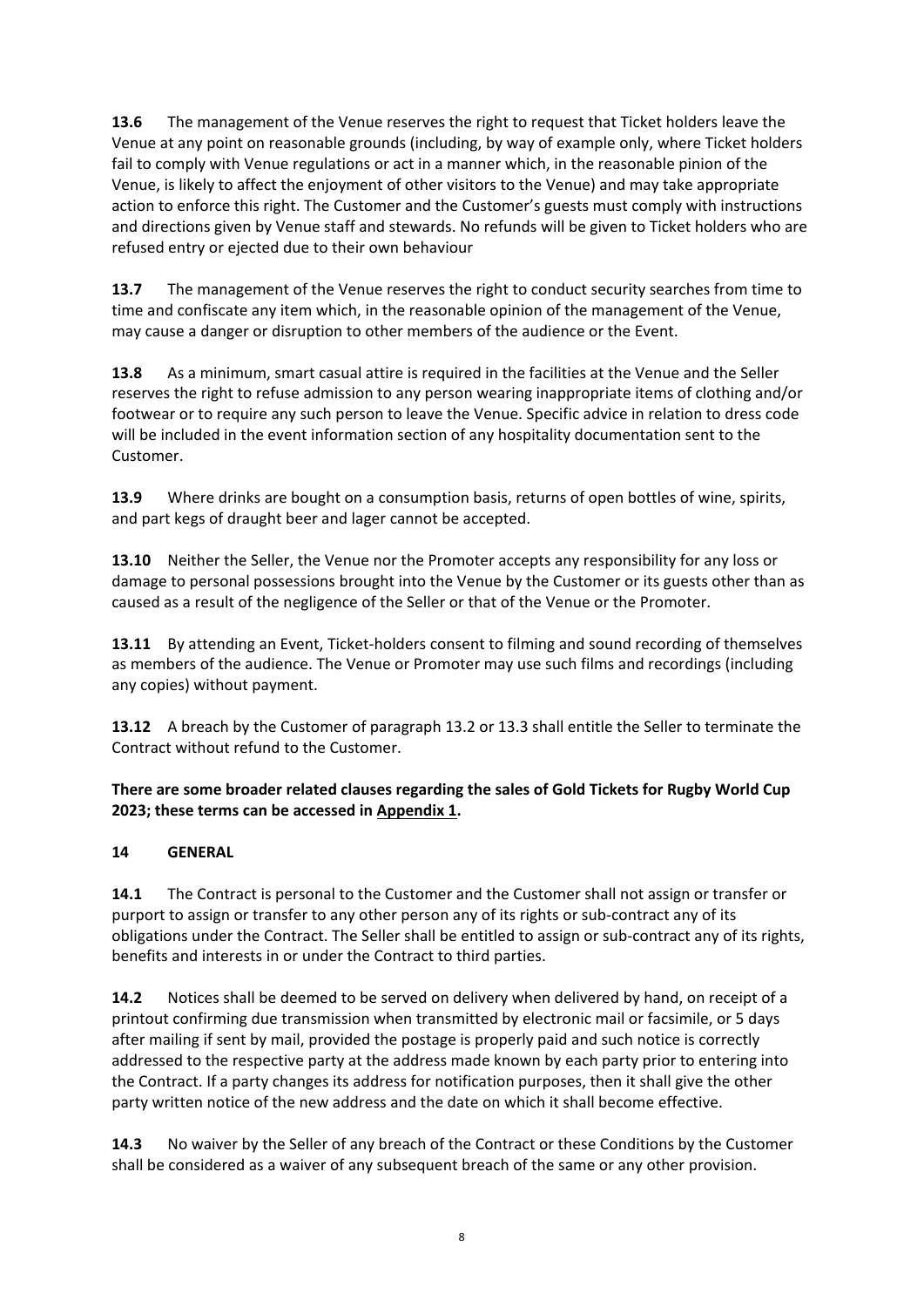**13.6** The management of the Venue reserves the right to request that Ticket holders leave the Venue at any point on reasonable grounds (including, by way of example only, where Ticket holders fail to comply with Venue regulations or act in a manner which, in the reasonable pinion of the Venue, is likely to affect the enjoyment of other visitors to the Venue) and may take appropriate action to enforce this right. The Customer and the Customer's guests must comply with instructions and directions given by Venue staff and stewards. No refunds will be given to Ticket holders who are refused entry or ejected due to their own behaviour

**13.7** The management of the Venue reserves the right to conduct security searches from time to time and confiscate any item which, in the reasonable opinion of the management of the Venue, may cause a danger or disruption to other members of the audience or the Event.

**13.8** As a minimum, smart casual attire is required in the facilities at the Venue and the Seller reserves the right to refuse admission to any person wearing inappropriate items of clothing and/or footwear or to require any such person to leave the Venue. Specific advice in relation to dress code will be included in the event information section of any hospitality documentation sent to the Customer.

**13.9** Where drinks are bought on a consumption basis, returns of open bottles of wine, spirits, and part kegs of draught beer and lager cannot be accepted.

**13.10** Neither the Seller, the Venue nor the Promoter accepts any responsibility for any loss or damage to personal possessions brought into the Venue by the Customer or its guests other than as caused as a result of the negligence of the Seller or that of the Venue or the Promoter.

**13.11** By attending an Event, Ticket-holders consent to filming and sound recording of themselves as members of the audience. The Venue or Promoter may use such films and recordings (including any copies) without payment.

**13.12** A breach by the Customer of paragraph 13.2 or 13.3 shall entitle the Seller to terminate the Contract without refund to the Customer.

## **There are some broader related clauses regarding the sales of Gold Tickets for Rugby World Cup 2023; these terms can be accessed in Appendix 1.**

### **14 GENERAL**

**14.1** The Contract is personal to the Customer and the Customer shall not assign or transfer or purport to assign or transfer to any other person any of its rights or sub-contract any of its obligations under the Contract. The Seller shall be entitled to assign or sub-contract any of its rights, benefits and interests in or under the Contract to third parties.

**14.2** Notices shall be deemed to be served on delivery when delivered by hand, on receipt of a printout confirming due transmission when transmitted by electronic mail or facsimile, or 5 days after mailing if sent by mail, provided the postage is properly paid and such notice is correctly addressed to the respective party at the address made known by each party prior to entering into the Contract. If a party changes its address for notification purposes, then it shall give the other party written notice of the new address and the date on which it shall become effective.

**14.3** No waiver by the Seller of any breach of the Contract or these Conditions by the Customer shall be considered as a waiver of any subsequent breach of the same or any other provision.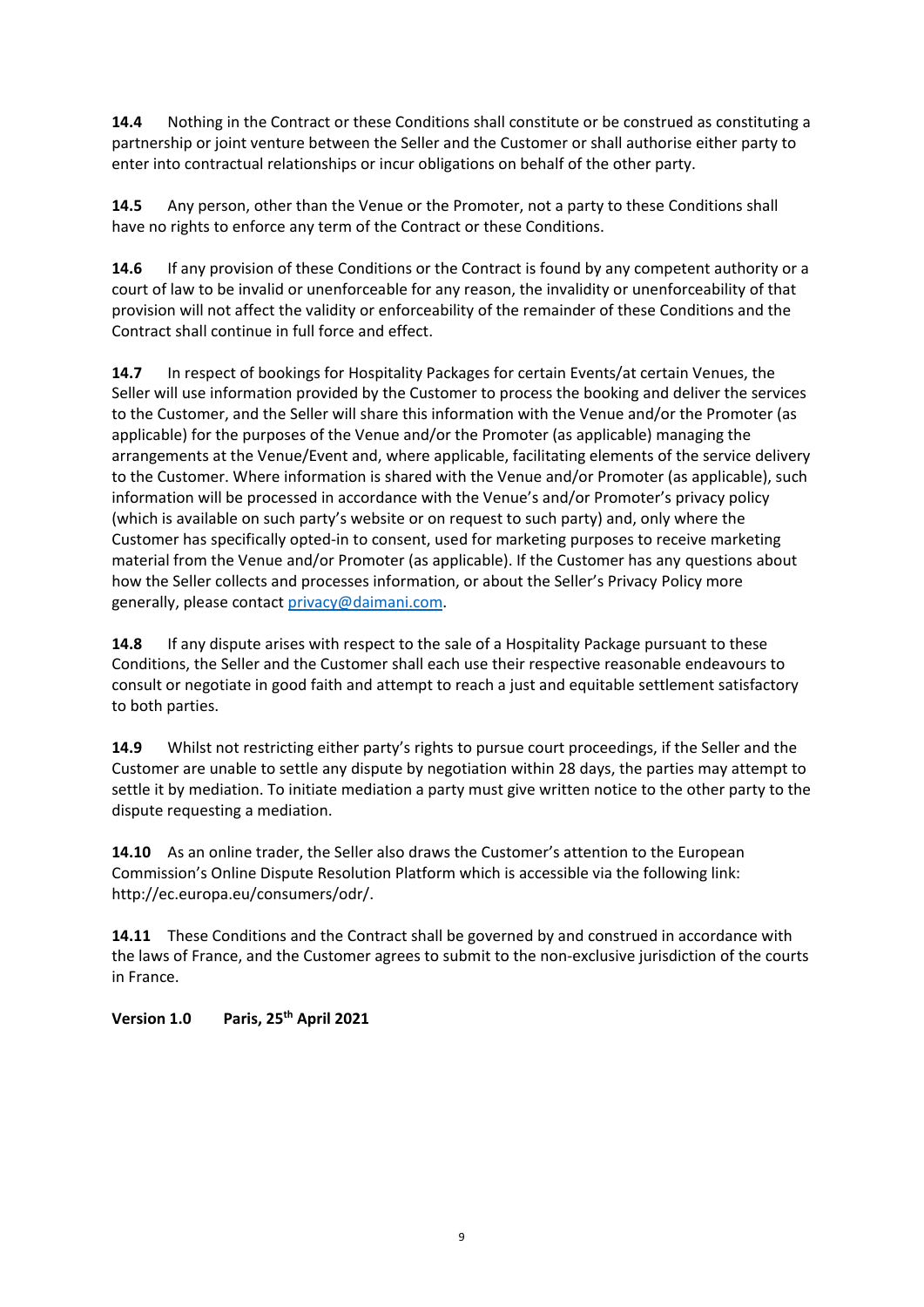**14.4** Nothing in the Contract or these Conditions shall constitute or be construed as constituting a partnership or joint venture between the Seller and the Customer or shall authorise either party to enter into contractual relationships or incur obligations on behalf of the other party.

**14.5** Any person, other than the Venue or the Promoter, not a party to these Conditions shall have no rights to enforce any term of the Contract or these Conditions.

**14.6** If any provision of these Conditions or the Contract is found by any competent authority or a court of law to be invalid or unenforceable for any reason, the invalidity or unenforceability of that provision will not affect the validity or enforceability of the remainder of these Conditions and the Contract shall continue in full force and effect.

**14.7** In respect of bookings for Hospitality Packages for certain Events/at certain Venues, the Seller will use information provided by the Customer to process the booking and deliver the services to the Customer, and the Seller will share this information with the Venue and/or the Promoter (as applicable) for the purposes of the Venue and/or the Promoter (as applicable) managing the arrangements at the Venue/Event and, where applicable, facilitating elements of the service delivery to the Customer. Where information is shared with the Venue and/or Promoter (as applicable), such information will be processed in accordance with the Venue's and/or Promoter's privacy policy (which is available on such party's website or on request to such party) and, only where the Customer has specifically opted-in to consent, used for marketing purposes to receive marketing material from the Venue and/or Promoter (as applicable). If the Customer has any questions about how the Seller collects and processes information, or about the Seller's Privacy Policy more generally, please contac[t privacy@daimani.com.](mailto:privacy@daimani.com)

**14.8** If any dispute arises with respect to the sale of a Hospitality Package pursuant to these Conditions, the Seller and the Customer shall each use their respective reasonable endeavours to consult or negotiate in good faith and attempt to reach a just and equitable settlement satisfactory to both parties.

**14.9** Whilst not restricting either party's rights to pursue court proceedings, if the Seller and the Customer are unable to settle any dispute by negotiation within 28 days, the parties may attempt to settle it by mediation. To initiate mediation a party must give written notice to the other party to the dispute requesting a mediation.

**14.10** As an online trader, the Seller also draws the Customer's attention to the European Commission's Online Dispute Resolution Platform which is accessible via the following link: http://ec.europa.eu/consumers/odr/.

**14.11** These Conditions and the Contract shall be governed by and construed in accordance with the laws of France, and the Customer agrees to submit to the non-exclusive jurisdiction of the courts in France.

# **Version 1.0 Paris, 25th April 2021**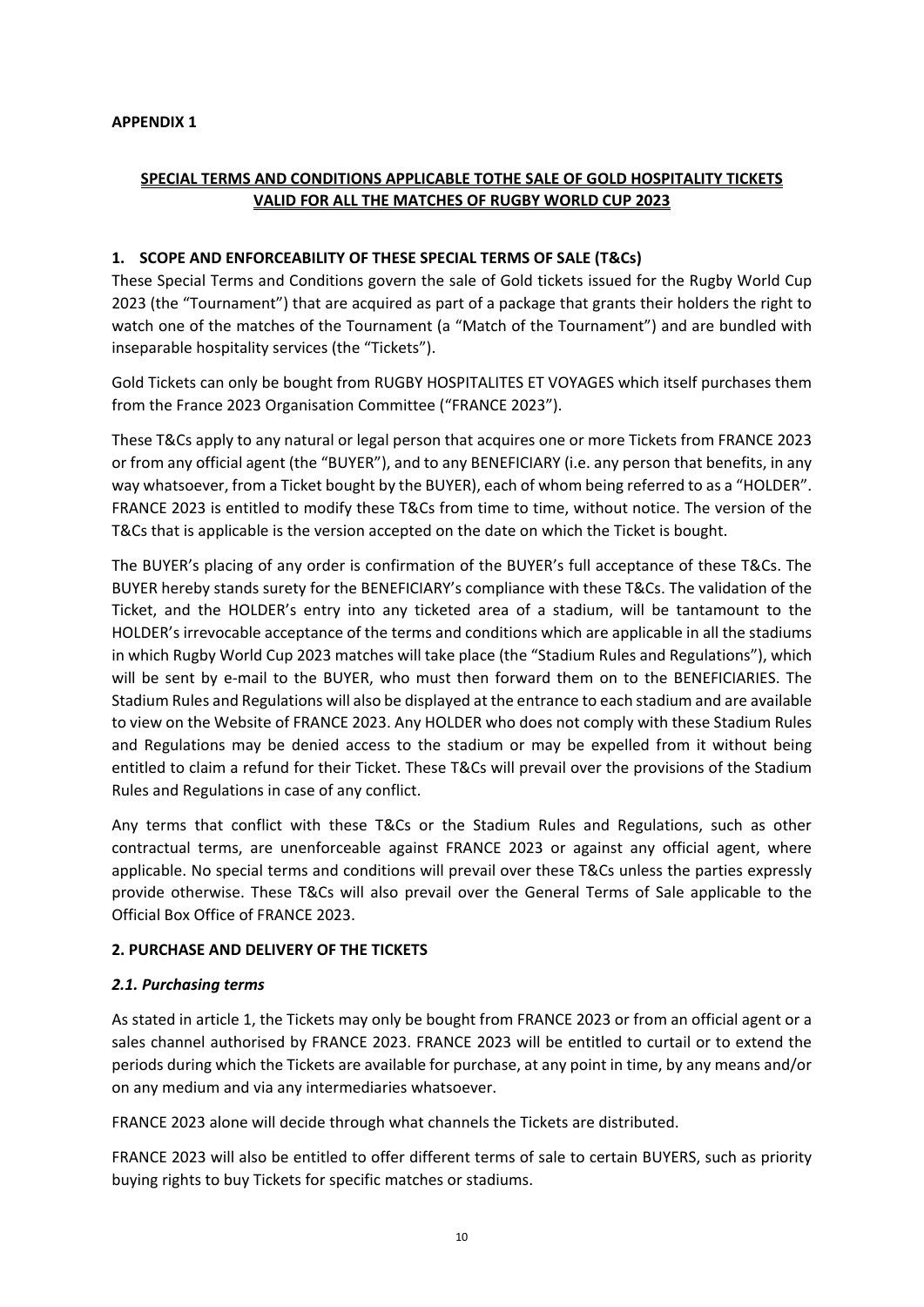#### **APPENDIX 1**

# **SPECIAL TERMS AND CONDITIONS APPLICABLE TOTHE SALE OF GOLD HOSPITALITY TICKETS VALID FOR ALL THE MATCHES OF RUGBY WORLD CUP 2023**

#### **1. SCOPE AND ENFORCEABILITY OF THESE SPECIAL TERMS OF SALE (T&Cs)**

These Special Terms and Conditions govern the sale of Gold tickets issued for the Rugby World Cup 2023 (the "Tournament") that are acquired as part of a package that grants their holders the right to watch one of the matches of the Tournament (a "Match of the Tournament") and are bundled with inseparable hospitality services (the "Tickets").

Gold Tickets can only be bought from RUGBY HOSPITALITES ET VOYAGES which itself purchases them from the France 2023 Organisation Committee ("FRANCE 2023").

These T&Cs apply to any natural or legal person that acquires one or more Tickets from FRANCE 2023 or from any official agent (the "BUYER"), and to any BENEFICIARY (i.e. any person that benefits, in any way whatsoever, from a Ticket bought by the BUYER), each of whom being referred to as a "HOLDER". FRANCE 2023 is entitled to modify these T&Cs from time to time, without notice. The version of the T&Cs that is applicable is the version accepted on the date on which the Ticket is bought.

The BUYER's placing of any order is confirmation of the BUYER's full acceptance of these T&Cs. The BUYER hereby stands surety for the BENEFICIARY's compliance with these T&Cs. The validation of the Ticket, and the HOLDER's entry into any ticketed area of a stadium, will be tantamount to the HOLDER's irrevocable acceptance of the terms and conditions which are applicable in all the stadiums in which Rugby World Cup 2023 matches will take place (the "Stadium Rules and Regulations"), which will be sent by e-mail to the BUYER, who must then forward them on to the BENEFICIARIES. The Stadium Rules and Regulations will also be displayed at the entrance to each stadium and are available to view on the Website of FRANCE 2023. Any HOLDER who does not comply with these Stadium Rules and Regulations may be denied access to the stadium or may be expelled from it without being entitled to claim a refund for their Ticket. These T&Cs will prevail over the provisions of the Stadium Rules and Regulations in case of any conflict.

Any terms that conflict with these T&Cs or the Stadium Rules and Regulations, such as other contractual terms, are unenforceable against FRANCE 2023 or against any official agent, where applicable. No special terms and conditions will prevail over these T&Cs unless the parties expressly provide otherwise. These T&Cs will also prevail over the General Terms of Sale applicable to the Official Box Office of FRANCE 2023.

### **2. PURCHASE AND DELIVERY OF THE TICKETS**

#### *2.1. Purchasing terms*

As stated in article 1, the Tickets may only be bought from FRANCE 2023 or from an official agent or a sales channel authorised by FRANCE 2023. FRANCE 2023 will be entitled to curtail or to extend the periods during which the Tickets are available for purchase, at any point in time, by any means and/or on any medium and via any intermediaries whatsoever.

FRANCE 2023 alone will decide through what channels the Tickets are distributed.

FRANCE 2023 will also be entitled to offer different terms of sale to certain BUYERS, such as priority buying rights to buy Tickets for specific matches or stadiums.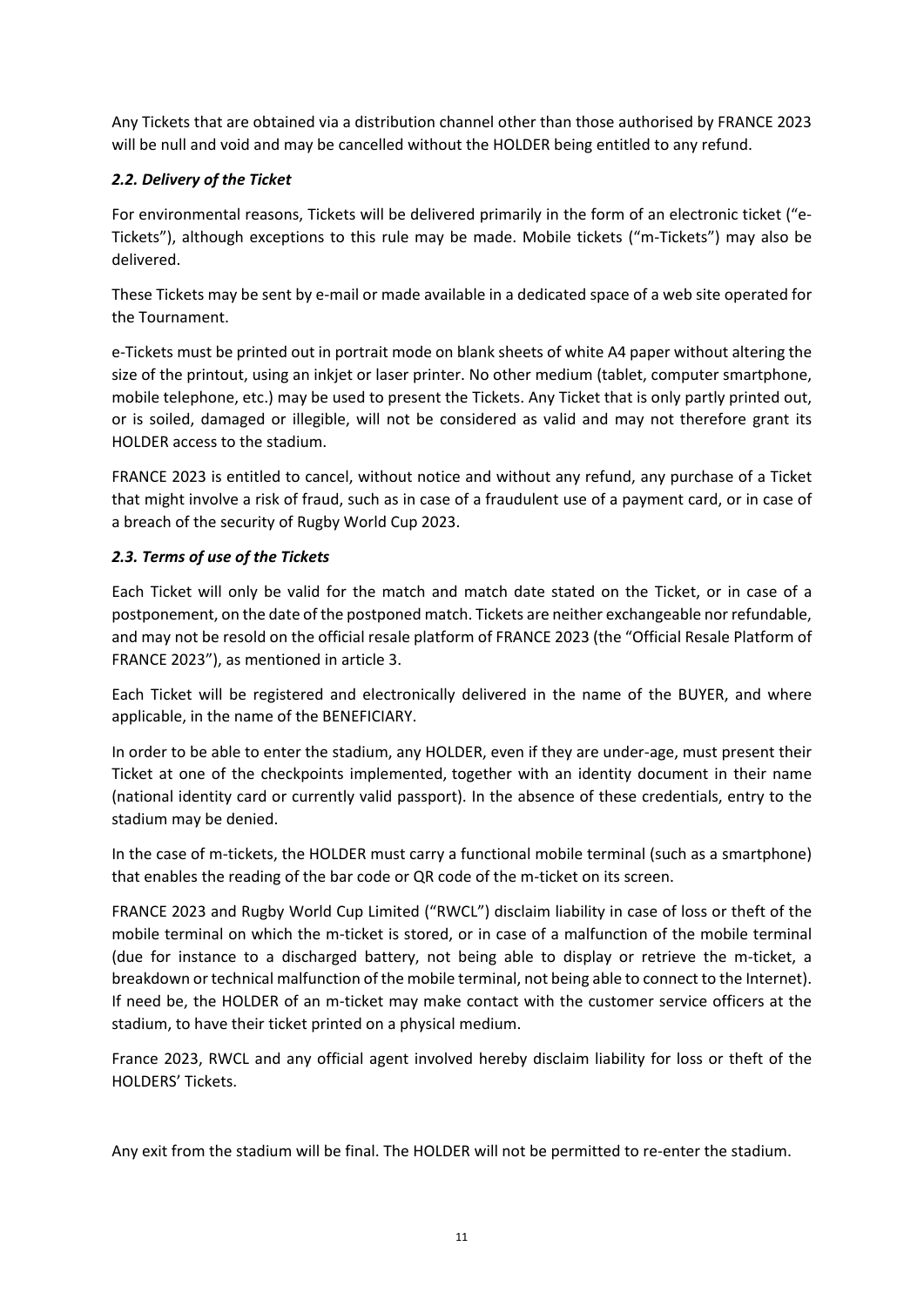Any Tickets that are obtained via a distribution channel other than those authorised by FRANCE 2023 will be null and void and may be cancelled without the HOLDER being entitled to any refund.

## *2.2. Delivery of the Ticket*

For environmental reasons, Tickets will be delivered primarily in the form of an electronic ticket ("e-Tickets"), although exceptions to this rule may be made. Mobile tickets ("m-Tickets") may also be delivered.

These Tickets may be sent by e-mail or made available in a dedicated space of a web site operated for the Tournament.

e-Tickets must be printed out in portrait mode on blank sheets of white A4 paper without altering the size of the printout, using an inkjet or laser printer. No other medium (tablet, computer smartphone, mobile telephone, etc.) may be used to present the Tickets. Any Ticket that is only partly printed out, or is soiled, damaged or illegible, will not be considered as valid and may not therefore grant its HOLDER access to the stadium.

FRANCE 2023 is entitled to cancel, without notice and without any refund, any purchase of a Ticket that might involve a risk of fraud, such as in case of a fraudulent use of a payment card, or in case of a breach of the security of Rugby World Cup 2023.

### *2.3. Terms of use of the Tickets*

Each Ticket will only be valid for the match and match date stated on the Ticket, or in case of a postponement, on the date of the postponed match. Tickets are neither exchangeable nor refundable, and may not be resold on the official resale platform of FRANCE 2023 (the "Official Resale Platform of FRANCE 2023"), as mentioned in article 3.

Each Ticket will be registered and electronically delivered in the name of the BUYER, and where applicable, in the name of the BENEFICIARY.

In order to be able to enter the stadium, any HOLDER, even if they are under-age, must present their Ticket at one of the checkpoints implemented, together with an identity document in their name (national identity card or currently valid passport). In the absence of these credentials, entry to the stadium may be denied.

In the case of m-tickets, the HOLDER must carry a functional mobile terminal (such as a smartphone) that enables the reading of the bar code or QR code of the m-ticket on its screen.

FRANCE 2023 and Rugby World Cup Limited ("RWCL") disclaim liability in case of loss or theft of the mobile terminal on which the m-ticket is stored, or in case of a malfunction of the mobile terminal (due for instance to a discharged battery, not being able to display or retrieve the m-ticket, a breakdown or technical malfunction of the mobile terminal, not being able to connect to the Internet). If need be, the HOLDER of an m-ticket may make contact with the customer service officers at the stadium, to have their ticket printed on a physical medium.

France 2023, RWCL and any official agent involved hereby disclaim liability for loss or theft of the HOLDERS' Tickets.

Any exit from the stadium will be final. The HOLDER will not be permitted to re-enter the stadium.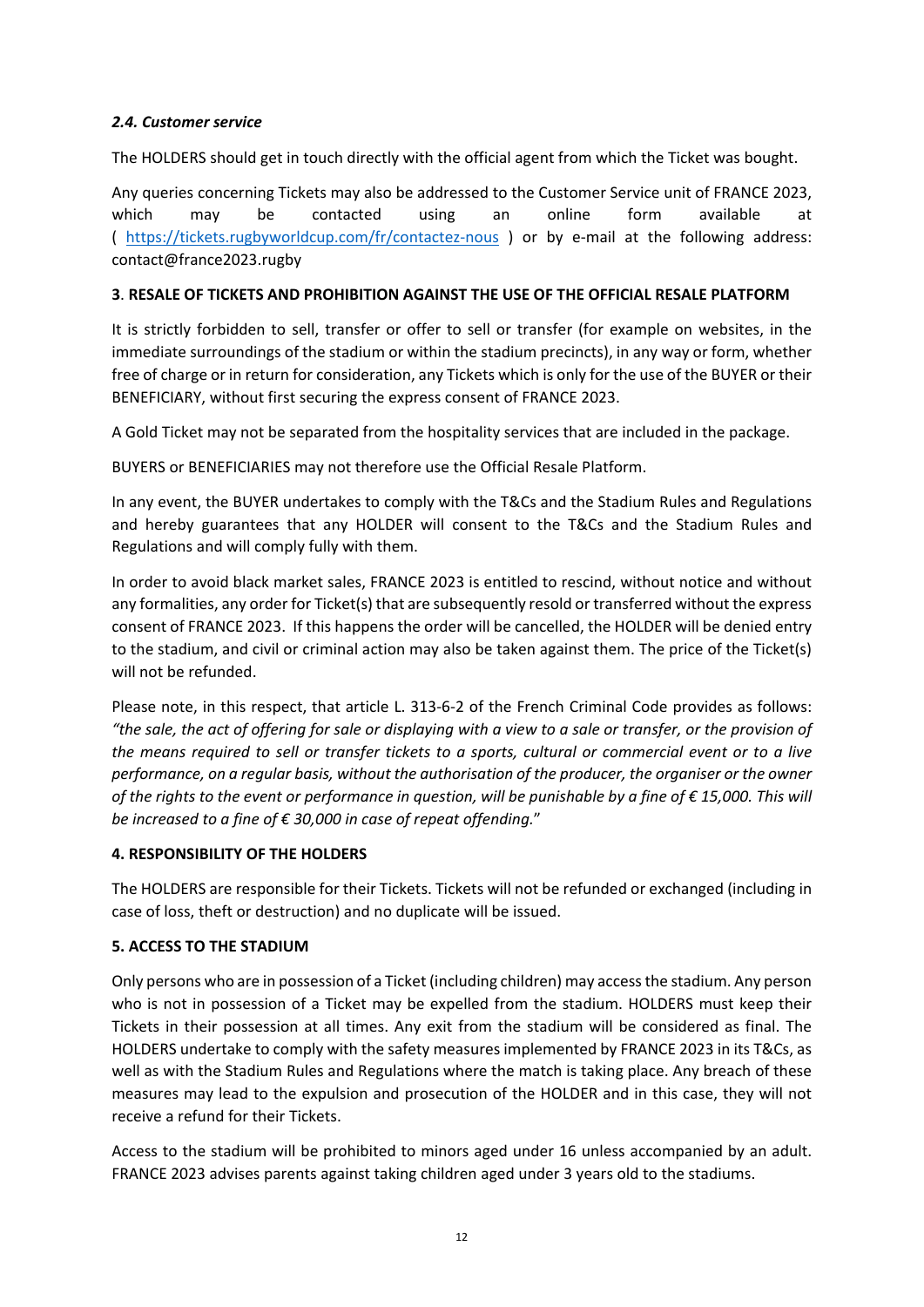## *2.4. Customer service*

The HOLDERS should get in touch directly with the official agent from which the Ticket was bought.

Any queries concerning Tickets may also be addressed to the Customer Service unit of FRANCE 2023, which may be contacted using an online form available at ( <https://tickets.rugbyworldcup.com/fr/contactez-nous> ) or by e-mail at the following address: contact@france2023.rugby

## **3**. **RESALE OF TICKETS AND PROHIBITION AGAINST THE USE OF THE OFFICIAL RESALE PLATFORM**

It is strictly forbidden to sell, transfer or offer to sell or transfer (for example on websites, in the immediate surroundings of the stadium or within the stadium precincts), in any way or form, whether free of charge or in return for consideration, any Tickets which is only for the use of the BUYER or their BENEFICIARY, without first securing the express consent of FRANCE 2023.

A Gold Ticket may not be separated from the hospitality services that are included in the package.

BUYERS or BENEFICIARIES may not therefore use the Official Resale Platform.

In any event, the BUYER undertakes to comply with the T&Cs and the Stadium Rules and Regulations and hereby guarantees that any HOLDER will consent to the T&Cs and the Stadium Rules and Regulations and will comply fully with them.

In order to avoid black market sales, FRANCE 2023 is entitled to rescind, without notice and without any formalities, any order for Ticket(s) that are subsequently resold or transferred without the express consent of FRANCE 2023. If this happens the order will be cancelled, the HOLDER will be denied entry to the stadium, and civil or criminal action may also be taken against them. The price of the Ticket(s) will not be refunded.

Please note, in this respect, that article L. 313-6-2 of the French Criminal Code provides as follows: *"the sale, the act of offering for sale or displaying with a view to a sale or transfer, or the provision of the means required to sell or transfer tickets to a sports, cultural or commercial event or to a live performance, on a regular basis, without the authorisation of the producer, the organiser or the owner of the rights to the event or performance in question, will be punishable by a fine of € 15,000. This will be increased to a fine of € 30,000 in case of repeat offending.*"

### **4. RESPONSIBILITY OF THE HOLDERS**

The HOLDERS are responsible for their Tickets. Tickets will not be refunded or exchanged (including in case of loss, theft or destruction) and no duplicate will be issued.

### **5. ACCESS TO THE STADIUM**

Only persons who are in possession of a Ticket (including children) may access the stadium. Any person who is not in possession of a Ticket may be expelled from the stadium. HOLDERS must keep their Tickets in their possession at all times. Any exit from the stadium will be considered as final. The HOLDERS undertake to comply with the safety measures implemented by FRANCE 2023 in its T&Cs, as well as with the Stadium Rules and Regulations where the match is taking place. Any breach of these measures may lead to the expulsion and prosecution of the HOLDER and in this case, they will not receive a refund for their Tickets.

Access to the stadium will be prohibited to minors aged under 16 unless accompanied by an adult. FRANCE 2023 advises parents against taking children aged under 3 years old to the stadiums.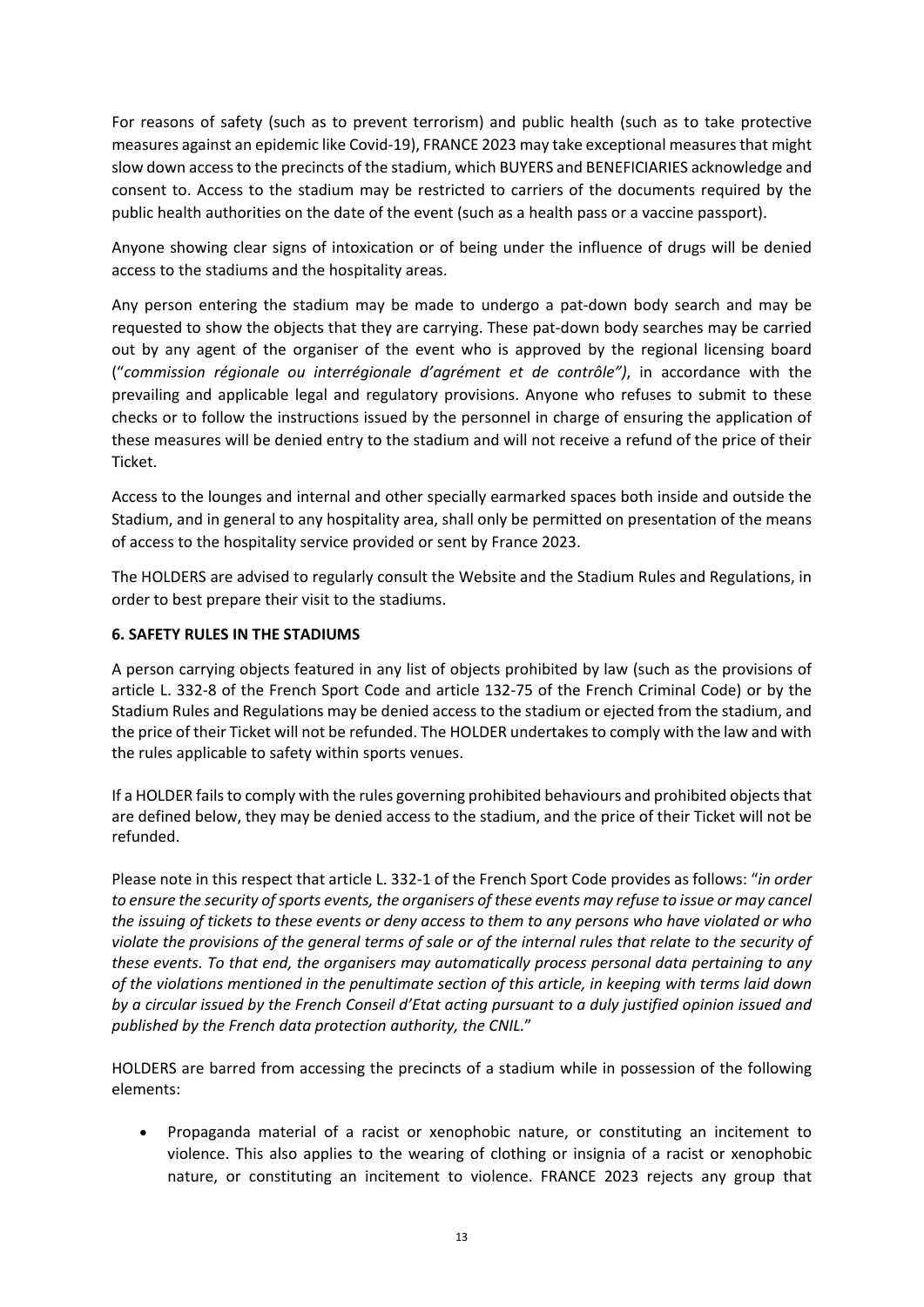For reasons of safety (such as to prevent terrorism) and public health (such as to take protective measures against an epidemic like Covid-19), FRANCE 2023 may take exceptional measures that might slow down access to the precincts of the stadium, which BUYERS and BENEFICIARIES acknowledge and consent to. Access to the stadium may be restricted to carriers of the documents required by the public health authorities on the date of the event (such as a health pass or a vaccine passport).

Anyone showing clear signs of intoxication or of being under the influence of drugs will be denied access to the stadiums and the hospitality areas.

Any person entering the stadium may be made to undergo a pat-down body search and may be requested to show the objects that they are carrying. These pat-down body searches may be carried out by any agent of the organiser of the event who is approved by the regional licensing board ("*commission régionale ou interrégionale d'agrément et de contrôle")*, in accordance with the prevailing and applicable legal and regulatory provisions. Anyone who refuses to submit to these checks or to follow the instructions issued by the personnel in charge of ensuring the application of these measures will be denied entry to the stadium and will not receive a refund of the price of their Ticket.

Access to the lounges and internal and other specially earmarked spaces both inside and outside the Stadium, and in general to any hospitality area, shall only be permitted on presentation of the means of access to the hospitality service provided or sent by France 2023.

The HOLDERS are advised to regularly consult the Website and the Stadium Rules and Regulations, in order to best prepare their visit to the stadiums.

#### **6. SAFETY RULES IN THE STADIUMS**

A person carrying objects featured in any list of objects prohibited by law (such as the provisions of article L. 332-8 of the French Sport Code and article 132-75 of the French Criminal Code) or by the Stadium Rules and Regulations may be denied access to the stadium or ejected from the stadium, and the price of their Ticket will not be refunded. The HOLDER undertakes to comply with the law and with the rules applicable to safety within sports venues.

If a HOLDER fails to comply with the rules governing prohibited behaviours and prohibited objects that are defined below, they may be denied access to the stadium, and the price of their Ticket will not be refunded.

Please note in this respect that article L. 332-1 of the French Sport Code provides as follows: "*in order to ensure the security of sports events, the organisers of these events may refuse to issue or may cancel the issuing of tickets to these events or deny access to them to any persons who have violated or who violate the provisions of the general terms of sale or of the internal rules that relate to the security of these events. To that end, the organisers may automatically process personal data pertaining to any of the violations mentioned in the penultimate section of this article, in keeping with terms laid down by a circular issued by the French Conseil d'Etat acting pursuant to a duly justified opinion issued and published by the French data protection authority, the CNIL.*"

HOLDERS are barred from accessing the precincts of a stadium while in possession of the following elements:

• Propaganda material of a racist or xenophobic nature, or constituting an incitement to violence. This also applies to the wearing of clothing or insignia of a racist or xenophobic nature, or constituting an incitement to violence. FRANCE 2023 rejects any group that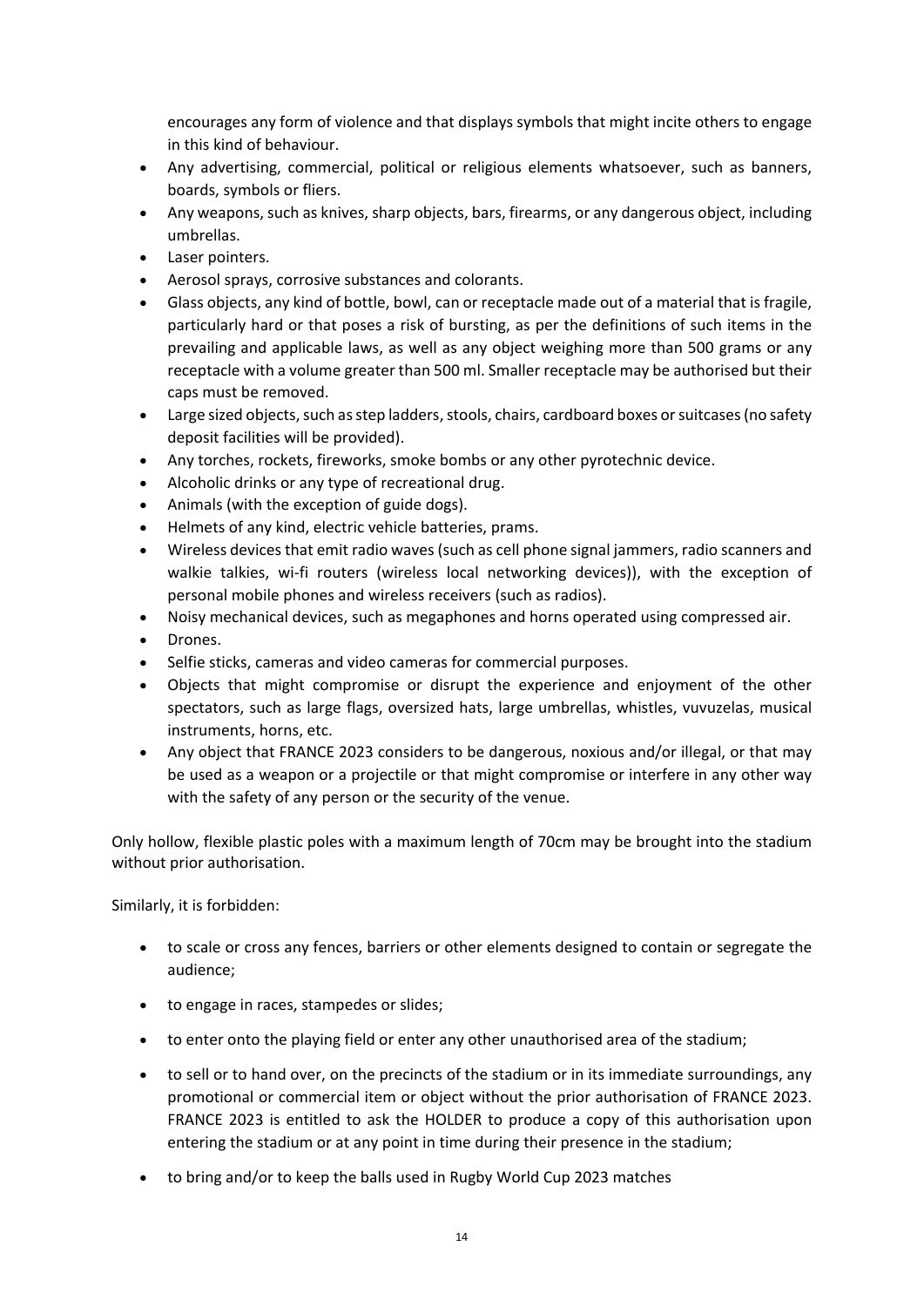encourages any form of violence and that displays symbols that might incite others to engage in this kind of behaviour.

- Any advertising, commercial, political or religious elements whatsoever, such as banners, boards, symbols or fliers.
- Any weapons, such as knives, sharp objects, bars, firearms, or any dangerous object, including umbrellas.
- Laser pointers.
- Aerosol sprays, corrosive substances and colorants.
- Glass objects, any kind of bottle, bowl, can or receptacle made out of a material that is fragile, particularly hard or that poses a risk of bursting, as per the definitions of such items in the prevailing and applicable laws, as well as any object weighing more than 500 grams or any receptacle with a volume greater than 500 ml. Smaller receptacle may be authorised but their caps must be removed.
- Large sized objects, such as step ladders, stools, chairs, cardboard boxes or suitcases (no safety deposit facilities will be provided).
- Any torches, rockets, fireworks, smoke bombs or any other pyrotechnic device.
- Alcoholic drinks or any type of recreational drug.
- Animals (with the exception of guide dogs).
- Helmets of any kind, electric vehicle batteries, prams.
- Wireless devices that emit radio waves (such as cell phone signal jammers, radio scanners and walkie talkies, wi-fi routers (wireless local networking devices)), with the exception of personal mobile phones and wireless receivers (such as radios).
- Noisy mechanical devices, such as megaphones and horns operated using compressed air.
- Drones.
- Selfie sticks, cameras and video cameras for commercial purposes.
- Objects that might compromise or disrupt the experience and enjoyment of the other spectators, such as large flags, oversized hats, large umbrellas, whistles, vuvuzelas, musical instruments, horns, etc.
- Any object that FRANCE 2023 considers to be dangerous, noxious and/or illegal, or that may be used as a weapon or a projectile or that might compromise or interfere in any other way with the safety of any person or the security of the venue.

Only hollow, flexible plastic poles with a maximum length of 70cm may be brought into the stadium without prior authorisation.

Similarly, it is forbidden:

- to scale or cross any fences, barriers or other elements designed to contain or segregate the audience;
- to engage in races, stampedes or slides;
- to enter onto the playing field or enter any other unauthorised area of the stadium;
- to sell or to hand over, on the precincts of the stadium or in its immediate surroundings, any promotional or commercial item or object without the prior authorisation of FRANCE 2023. FRANCE 2023 is entitled to ask the HOLDER to produce a copy of this authorisation upon entering the stadium or at any point in time during their presence in the stadium;
- to bring and/or to keep the balls used in Rugby World Cup 2023 matches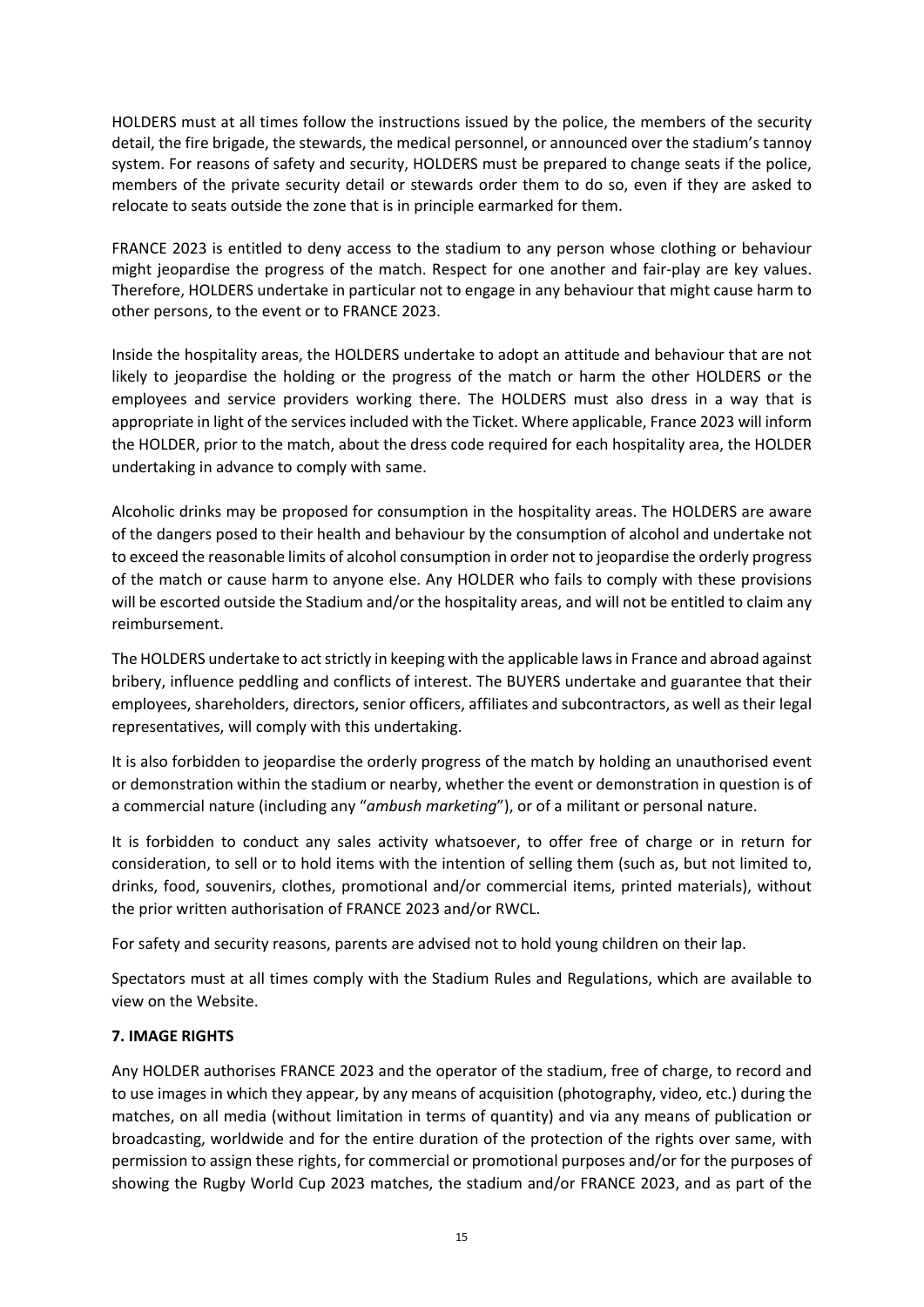HOLDERS must at all times follow the instructions issued by the police, the members of the security detail, the fire brigade, the stewards, the medical personnel, or announced over the stadium's tannoy system. For reasons of safety and security, HOLDERS must be prepared to change seats if the police, members of the private security detail or stewards order them to do so, even if they are asked to relocate to seats outside the zone that is in principle earmarked for them.

FRANCE 2023 is entitled to deny access to the stadium to any person whose clothing or behaviour might jeopardise the progress of the match. Respect for one another and fair-play are key values. Therefore, HOLDERS undertake in particular not to engage in any behaviour that might cause harm to other persons, to the event or to FRANCE 2023.

Inside the hospitality areas, the HOLDERS undertake to adopt an attitude and behaviour that are not likely to jeopardise the holding or the progress of the match or harm the other HOLDERS or the employees and service providers working there. The HOLDERS must also dress in a way that is appropriate in light of the services included with the Ticket. Where applicable, France 2023 will inform the HOLDER, prior to the match, about the dress code required for each hospitality area, the HOLDER undertaking in advance to comply with same.

Alcoholic drinks may be proposed for consumption in the hospitality areas. The HOLDERS are aware of the dangers posed to their health and behaviour by the consumption of alcohol and undertake not to exceed the reasonable limits of alcohol consumption in order not to jeopardise the orderly progress of the match or cause harm to anyone else. Any HOLDER who fails to comply with these provisions will be escorted outside the Stadium and/or the hospitality areas, and will not be entitled to claim any reimbursement.

The HOLDERS undertake to act strictly in keeping with the applicable laws in France and abroad against bribery, influence peddling and conflicts of interest. The BUYERS undertake and guarantee that their employees, shareholders, directors, senior officers, affiliates and subcontractors, as well as their legal representatives, will comply with this undertaking.

It is also forbidden to jeopardise the orderly progress of the match by holding an unauthorised event or demonstration within the stadium or nearby, whether the event or demonstration in question is of a commercial nature (including any "*ambush marketing*"), or of a militant or personal nature.

It is forbidden to conduct any sales activity whatsoever, to offer free of charge or in return for consideration, to sell or to hold items with the intention of selling them (such as, but not limited to, drinks, food, souvenirs, clothes, promotional and/or commercial items, printed materials), without the prior written authorisation of FRANCE 2023 and/or RWCL.

For safety and security reasons, parents are advised not to hold young children on their lap.

Spectators must at all times comply with the Stadium Rules and Regulations, which are available to view on the Website.

### **7. IMAGE RIGHTS**

Any HOLDER authorises FRANCE 2023 and the operator of the stadium, free of charge, to record and to use images in which they appear, by any means of acquisition (photography, video, etc.) during the matches, on all media (without limitation in terms of quantity) and via any means of publication or broadcasting, worldwide and for the entire duration of the protection of the rights over same, with permission to assign these rights, for commercial or promotional purposes and/or for the purposes of showing the Rugby World Cup 2023 matches, the stadium and/or FRANCE 2023, and as part of the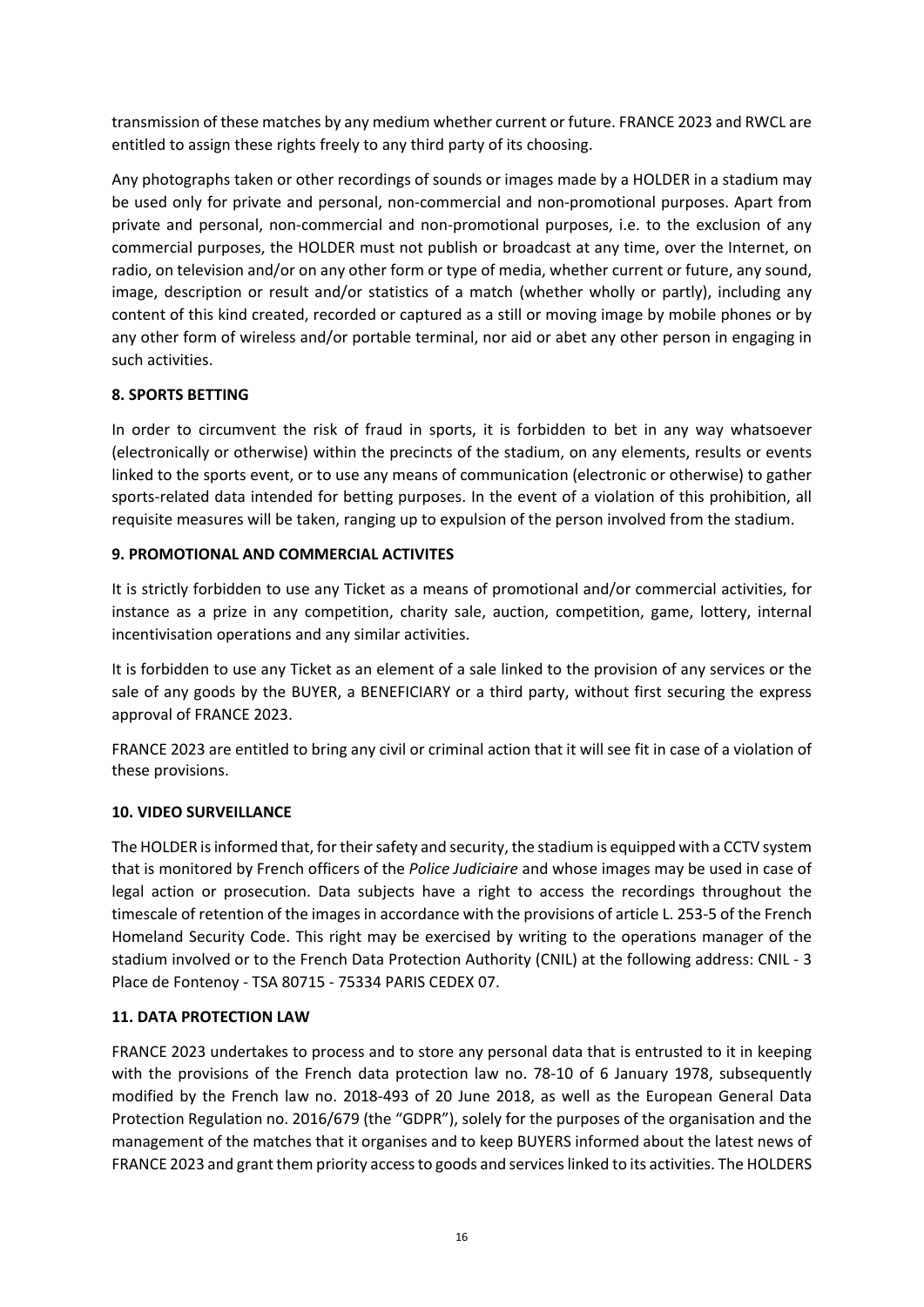transmission of these matches by any medium whether current or future. FRANCE 2023 and RWCL are entitled to assign these rights freely to any third party of its choosing.

Any photographs taken or other recordings of sounds or images made by a HOLDER in a stadium may be used only for private and personal, non-commercial and non-promotional purposes. Apart from private and personal, non-commercial and non-promotional purposes, i.e. to the exclusion of any commercial purposes, the HOLDER must not publish or broadcast at any time, over the Internet, on radio, on television and/or on any other form or type of media, whether current or future, any sound, image, description or result and/or statistics of a match (whether wholly or partly), including any content of this kind created, recorded or captured as a still or moving image by mobile phones or by any other form of wireless and/or portable terminal, nor aid or abet any other person in engaging in such activities.

### **8. SPORTS BETTING**

In order to circumvent the risk of fraud in sports, it is forbidden to bet in any way whatsoever (electronically or otherwise) within the precincts of the stadium, on any elements, results or events linked to the sports event, or to use any means of communication (electronic or otherwise) to gather sports-related data intended for betting purposes. In the event of a violation of this prohibition, all requisite measures will be taken, ranging up to expulsion of the person involved from the stadium.

#### **9. PROMOTIONAL AND COMMERCIAL ACTIVITES**

It is strictly forbidden to use any Ticket as a means of promotional and/or commercial activities, for instance as a prize in any competition, charity sale, auction, competition, game, lottery, internal incentivisation operations and any similar activities.

It is forbidden to use any Ticket as an element of a sale linked to the provision of any services or the sale of any goods by the BUYER, a BENEFICIARY or a third party, without first securing the express approval of FRANCE 2023.

FRANCE 2023 are entitled to bring any civil or criminal action that it will see fit in case of a violation of these provisions.

#### **10. VIDEO SURVEILLANCE**

The HOLDER is informed that, for their safety and security, the stadium is equipped with a CCTV system that is monitored by French officers of the *Police Judiciaire* and whose images may be used in case of legal action or prosecution. Data subjects have a right to access the recordings throughout the timescale of retention of the images in accordance with the provisions of article L. 253-5 of the French Homeland Security Code. This right may be exercised by writing to the operations manager of the stadium involved or to the French Data Protection Authority (CNIL) at the following address: CNIL - 3 Place de Fontenoy - TSA 80715 - 75334 PARIS CEDEX 07.

### **11. DATA PROTECTION LAW**

FRANCE 2023 undertakes to process and to store any personal data that is entrusted to it in keeping with the provisions of the French data protection law no. 78-10 of 6 January 1978, subsequently modified by the French law no. 2018-493 of 20 June 2018, as well as the European General Data Protection Regulation no. 2016/679 (the "GDPR"), solely for the purposes of the organisation and the management of the matches that it organises and to keep BUYERS informed about the latest news of FRANCE 2023 and grant them priority access to goods and services linked to its activities. The HOLDERS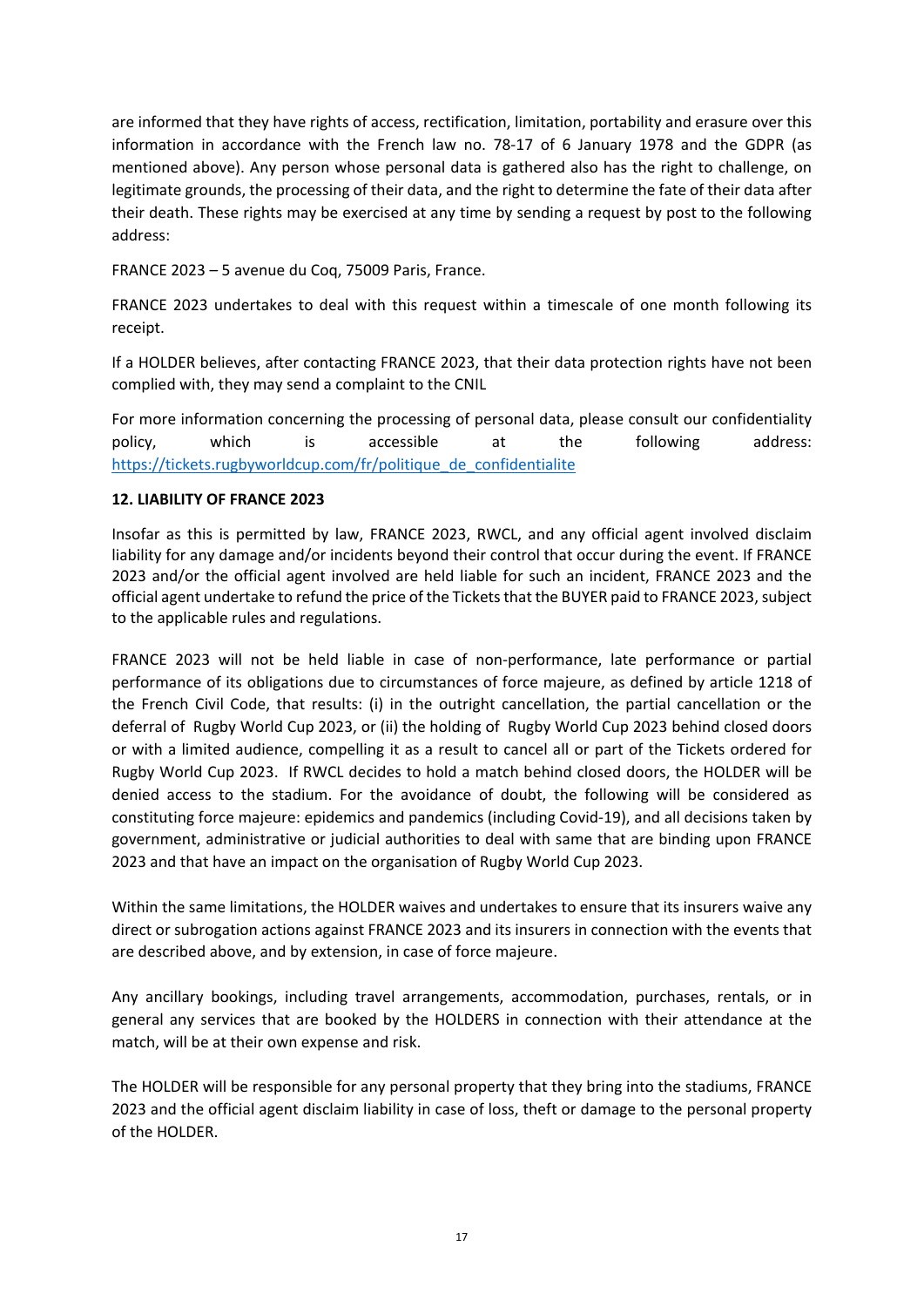are informed that they have rights of access, rectification, limitation, portability and erasure over this information in accordance with the French law no. 78-17 of 6 January 1978 and the GDPR (as mentioned above). Any person whose personal data is gathered also has the right to challenge, on legitimate grounds, the processing of their data, and the right to determine the fate of their data after their death. These rights may be exercised at any time by sending a request by post to the following address:

FRANCE 2023 – 5 avenue du Coq, 75009 Paris, France.

FRANCE 2023 undertakes to deal with this request within a timescale of one month following its receipt.

If a HOLDER believes, after contacting FRANCE 2023, that their data protection rights have not been complied with, they may send a complaint to the CNIL

For more information concerning the processing of personal data, please consult our confidentiality policy, which is accessible at the following address: [https://tickets.rugbyworldcup.com/fr/politique\\_de\\_confidentialite](https://tickets.rugbyworldcup.com/fr/politique_de_confidentialite) 

#### **12. LIABILITY OF FRANCE 2023**

Insofar as this is permitted by law, FRANCE 2023, RWCL, and any official agent involved disclaim liability for any damage and/or incidents beyond their control that occur during the event. If FRANCE 2023 and/or the official agent involved are held liable for such an incident, FRANCE 2023 and the official agent undertake to refund the price of the Tickets that the BUYER paid to FRANCE 2023, subject to the applicable rules and regulations.

FRANCE 2023 will not be held liable in case of non-performance, late performance or partial performance of its obligations due to circumstances of force majeure, as defined by article 1218 of the French Civil Code, that results: (i) in the outright cancellation, the partial cancellation or the deferral of Rugby World Cup 2023, or (ii) the holding of Rugby World Cup 2023 behind closed doors or with a limited audience, compelling it as a result to cancel all or part of the Tickets ordered for Rugby World Cup 2023. If RWCL decides to hold a match behind closed doors, the HOLDER will be denied access to the stadium. For the avoidance of doubt, the following will be considered as constituting force majeure: epidemics and pandemics (including Covid-19), and all decisions taken by government, administrative or judicial authorities to deal with same that are binding upon FRANCE 2023 and that have an impact on the organisation of Rugby World Cup 2023.

Within the same limitations, the HOLDER waives and undertakes to ensure that its insurers waive any direct or subrogation actions against FRANCE 2023 and its insurers in connection with the events that are described above, and by extension, in case of force majeure.

Any ancillary bookings, including travel arrangements, accommodation, purchases, rentals, or in general any services that are booked by the HOLDERS in connection with their attendance at the match, will be at their own expense and risk.

The HOLDER will be responsible for any personal property that they bring into the stadiums, FRANCE 2023 and the official agent disclaim liability in case of loss, theft or damage to the personal property of the HOLDER.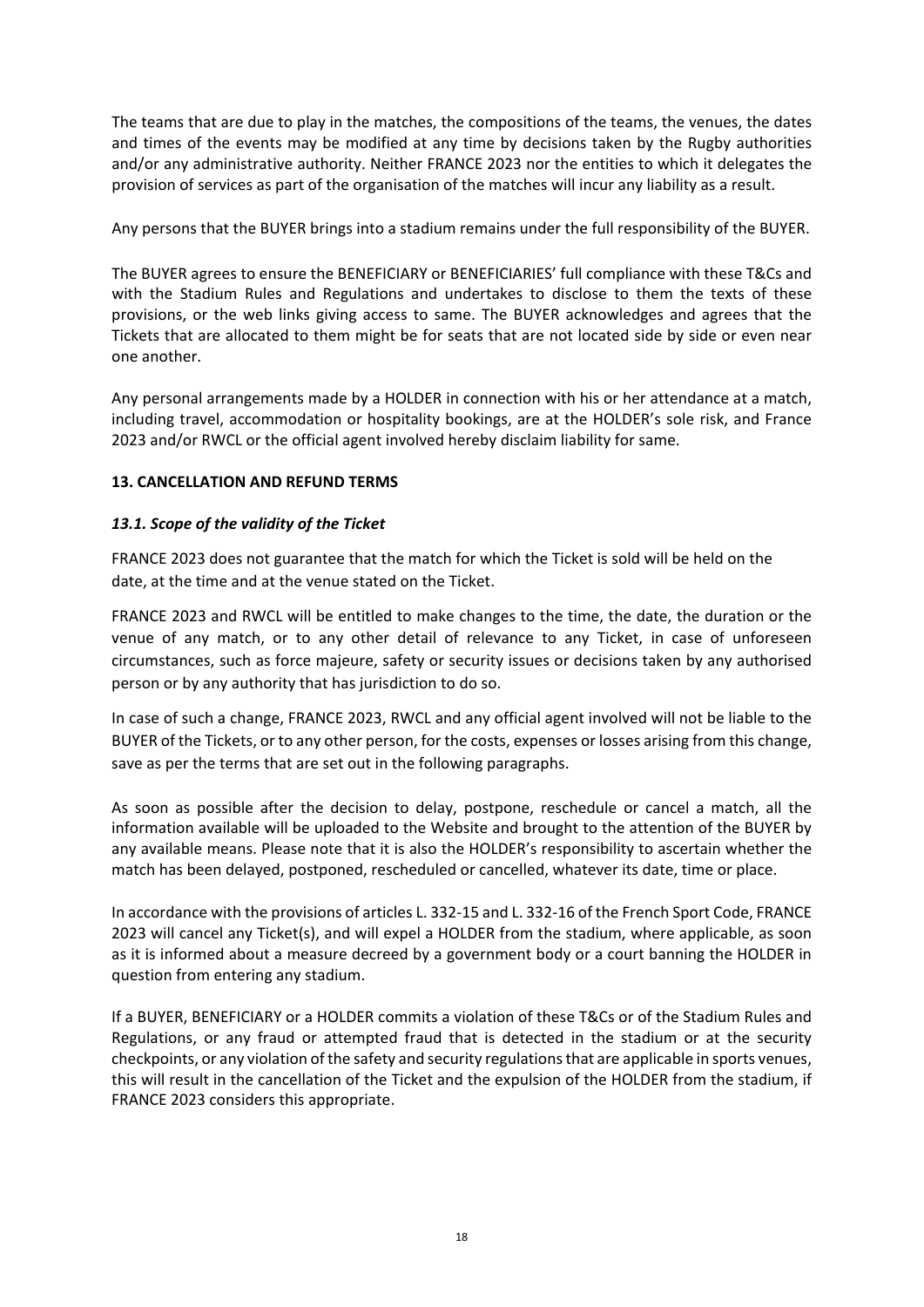The teams that are due to play in the matches, the compositions of the teams, the venues, the dates and times of the events may be modified at any time by decisions taken by the Rugby authorities and/or any administrative authority. Neither FRANCE 2023 nor the entities to which it delegates the provision of services as part of the organisation of the matches will incur any liability as a result.

Any persons that the BUYER brings into a stadium remains under the full responsibility of the BUYER.

The BUYER agrees to ensure the BENEFICIARY or BENEFICIARIES' full compliance with these T&Cs and with the Stadium Rules and Regulations and undertakes to disclose to them the texts of these provisions, or the web links giving access to same. The BUYER acknowledges and agrees that the Tickets that are allocated to them might be for seats that are not located side by side or even near one another.

Any personal arrangements made by a HOLDER in connection with his or her attendance at a match, including travel, accommodation or hospitality bookings, are at the HOLDER's sole risk, and France 2023 and/or RWCL or the official agent involved hereby disclaim liability for same.

### **13. CANCELLATION AND REFUND TERMS**

#### *13.1. Scope of the validity of the Ticket*

FRANCE 2023 does not guarantee that the match for which the Ticket is sold will be held on the date, at the time and at the venue stated on the Ticket.

FRANCE 2023 and RWCL will be entitled to make changes to the time, the date, the duration or the venue of any match, or to any other detail of relevance to any Ticket, in case of unforeseen circumstances, such as force majeure, safety or security issues or decisions taken by any authorised person or by any authority that has jurisdiction to do so.

In case of such a change, FRANCE 2023, RWCL and any official agent involved will not be liable to the BUYER of the Tickets, or to any other person, for the costs, expenses or losses arising from this change, save as per the terms that are set out in the following paragraphs.

As soon as possible after the decision to delay, postpone, reschedule or cancel a match, all the information available will be uploaded to the Website and brought to the attention of the BUYER by any available means. Please note that it is also the HOLDER's responsibility to ascertain whether the match has been delayed, postponed, rescheduled or cancelled, whatever its date, time or place.

In accordance with the provisions of articles L. 332-15 and L. 332-16 of the French Sport Code, FRANCE 2023 will cancel any Ticket(s), and will expel a HOLDER from the stadium, where applicable, as soon as it is informed about a measure decreed by a government body or a court banning the HOLDER in question from entering any stadium.

If a BUYER, BENEFICIARY or a HOLDER commits a violation of these T&Cs or of the Stadium Rules and Regulations, or any fraud or attempted fraud that is detected in the stadium or at the security checkpoints, or any violation of the safety and security regulations that are applicable in sports venues, this will result in the cancellation of the Ticket and the expulsion of the HOLDER from the stadium, if FRANCE 2023 considers this appropriate.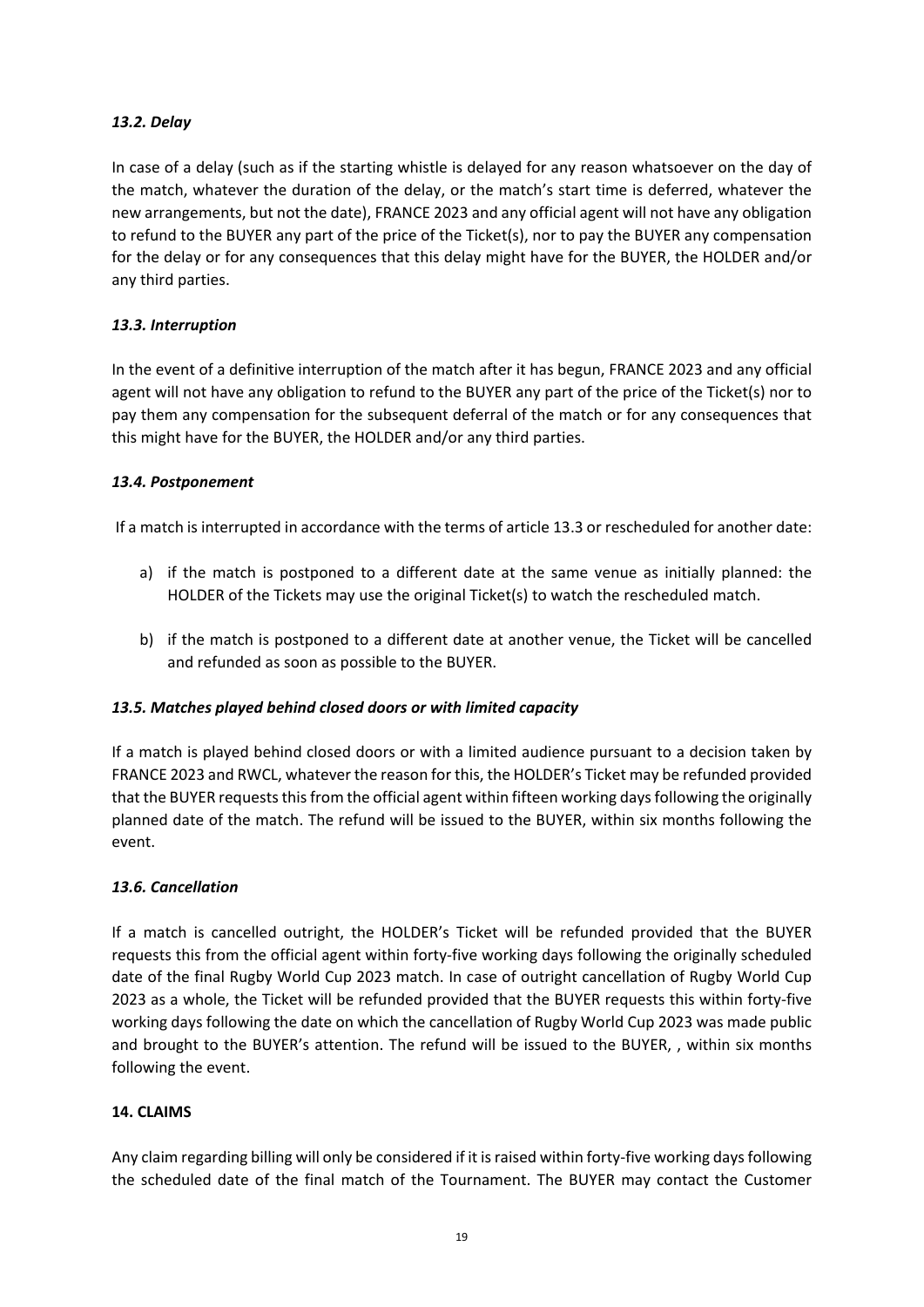### *13.2. Delay*

In case of a delay (such as if the starting whistle is delayed for any reason whatsoever on the day of the match, whatever the duration of the delay, or the match's start time is deferred, whatever the new arrangements, but not the date), FRANCE 2023 and any official agent will not have any obligation to refund to the BUYER any part of the price of the Ticket(s), nor to pay the BUYER any compensation for the delay or for any consequences that this delay might have for the BUYER, the HOLDER and/or any third parties.

## *13.3. Interruption*

In the event of a definitive interruption of the match after it has begun, FRANCE 2023 and any official agent will not have any obligation to refund to the BUYER any part of the price of the Ticket(s) nor to pay them any compensation for the subsequent deferral of the match or for any consequences that this might have for the BUYER, the HOLDER and/or any third parties.

### *13.4. Postponement*

If a match is interrupted in accordance with the terms of article 13.3 or rescheduled for another date:

- a) if the match is postponed to a different date at the same venue as initially planned: the HOLDER of the Tickets may use the original Ticket(s) to watch the rescheduled match.
- b) if the match is postponed to a different date at another venue, the Ticket will be cancelled and refunded as soon as possible to the BUYER.

### *13.5. Matches played behind closed doors or with limited capacity*

If a match is played behind closed doors or with a limited audience pursuant to a decision taken by FRANCE 2023 and RWCL, whatever the reason for this, the HOLDER's Ticket may be refunded provided that the BUYER requests this from the official agent within fifteen working days following the originally planned date of the match. The refund will be issued to the BUYER, within six months following the event.

### *13.6. Cancellation*

If a match is cancelled outright, the HOLDER's Ticket will be refunded provided that the BUYER requests this from the official agent within forty-five working days following the originally scheduled date of the final Rugby World Cup 2023 match. In case of outright cancellation of Rugby World Cup 2023 as a whole, the Ticket will be refunded provided that the BUYER requests this within forty-five working days following the date on which the cancellation of Rugby World Cup 2023 was made public and brought to the BUYER's attention. The refund will be issued to the BUYER, , within six months following the event.

### **14. CLAIMS**

Any claim regarding billing will only be considered if it is raised within forty-five working days following the scheduled date of the final match of the Tournament. The BUYER may contact the Customer